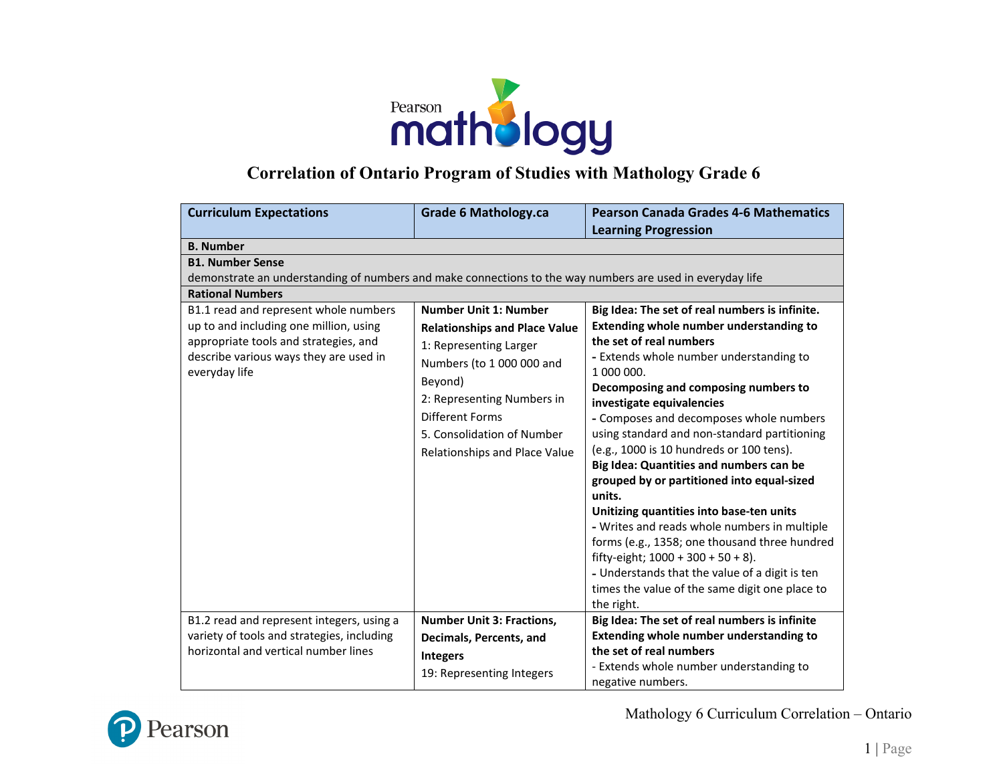

## **Correlation of Ontario Program of Studies with Mathology Grade 6**

| <b>Curriculum Expectations</b>                                                                            | <b>Grade 6 Mathology.ca</b>          | <b>Pearson Canada Grades 4-6 Mathematics</b>                                           |
|-----------------------------------------------------------------------------------------------------------|--------------------------------------|----------------------------------------------------------------------------------------|
|                                                                                                           |                                      | <b>Learning Progression</b>                                                            |
| <b>B.</b> Number                                                                                          |                                      |                                                                                        |
| <b>B1. Number Sense</b>                                                                                   |                                      |                                                                                        |
| demonstrate an understanding of numbers and make connections to the way numbers are used in everyday life |                                      |                                                                                        |
| <b>Rational Numbers</b>                                                                                   |                                      |                                                                                        |
| B1.1 read and represent whole numbers                                                                     | <b>Number Unit 1: Number</b>         | Big Idea: The set of real numbers is infinite.                                         |
| up to and including one million, using                                                                    | <b>Relationships and Place Value</b> | <b>Extending whole number understanding to</b>                                         |
| appropriate tools and strategies, and                                                                     | 1: Representing Larger               | the set of real numbers                                                                |
| describe various ways they are used in                                                                    | Numbers (to 1 000 000 and            | - Extends whole number understanding to                                                |
| everyday life                                                                                             | Beyond)                              | 1 000 000.                                                                             |
|                                                                                                           | 2: Representing Numbers in           | Decomposing and composing numbers to                                                   |
|                                                                                                           |                                      | investigate equivalencies                                                              |
|                                                                                                           | <b>Different Forms</b>               | - Composes and decomposes whole numbers                                                |
|                                                                                                           | 5. Consolidation of Number           | using standard and non-standard partitioning                                           |
|                                                                                                           | Relationships and Place Value        | (e.g., 1000 is 10 hundreds or 100 tens).                                               |
|                                                                                                           |                                      | Big Idea: Quantities and numbers can be                                                |
|                                                                                                           |                                      | grouped by or partitioned into equal-sized                                             |
|                                                                                                           |                                      | units.                                                                                 |
|                                                                                                           |                                      | Unitizing quantities into base-ten units                                               |
|                                                                                                           |                                      | - Writes and reads whole numbers in multiple                                           |
|                                                                                                           |                                      | forms (e.g., 1358; one thousand three hundred<br>fifty-eight; $1000 + 300 + 50 + 8$ ). |
|                                                                                                           |                                      | - Understands that the value of a digit is ten                                         |
|                                                                                                           |                                      | times the value of the same digit one place to                                         |
|                                                                                                           |                                      | the right.                                                                             |
| B1.2 read and represent integers, using a                                                                 | <b>Number Unit 3: Fractions,</b>     | Big Idea: The set of real numbers is infinite                                          |
| variety of tools and strategies, including                                                                |                                      | Extending whole number understanding to                                                |
| horizontal and vertical number lines                                                                      | Decimals, Percents, and              | the set of real numbers                                                                |
|                                                                                                           | <b>Integers</b>                      | - Extends whole number understanding to                                                |
|                                                                                                           | 19: Representing Integers            | negative numbers.                                                                      |

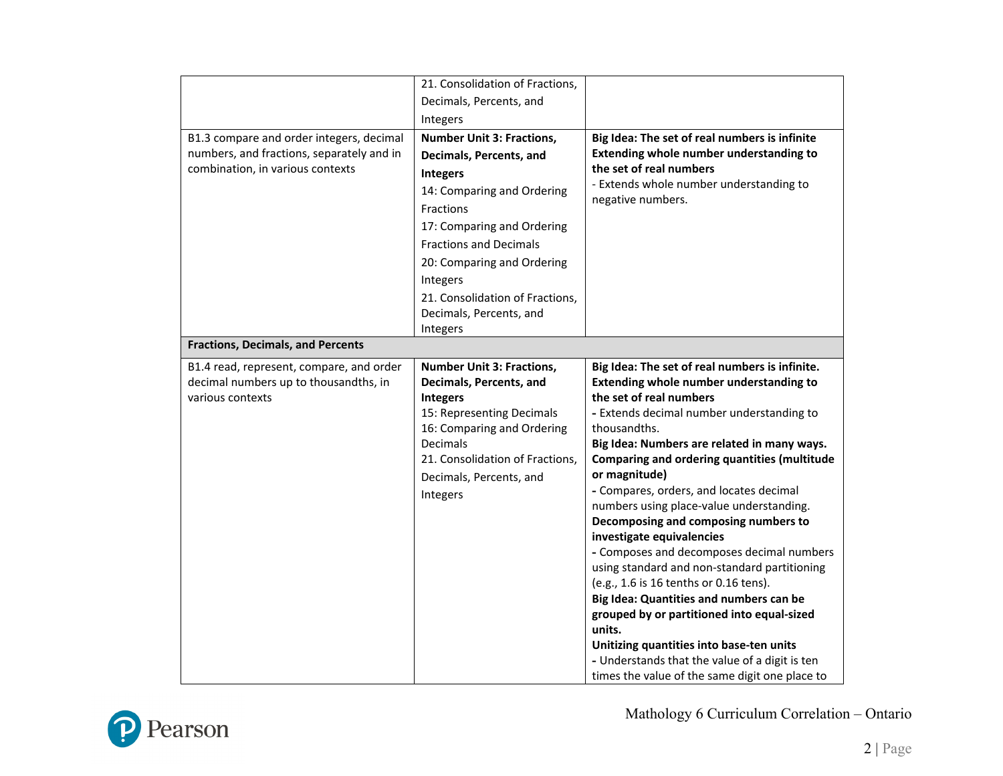|                                           | 21. Consolidation of Fractions,  |                                                                                  |
|-------------------------------------------|----------------------------------|----------------------------------------------------------------------------------|
|                                           | Decimals, Percents, and          |                                                                                  |
|                                           | Integers                         |                                                                                  |
| B1.3 compare and order integers, decimal  | <b>Number Unit 3: Fractions,</b> | Big Idea: The set of real numbers is infinite                                    |
| numbers, and fractions, separately and in | Decimals, Percents, and          | Extending whole number understanding to                                          |
| combination, in various contexts          |                                  | the set of real numbers                                                          |
|                                           | <b>Integers</b>                  | - Extends whole number understanding to                                          |
|                                           | 14: Comparing and Ordering       | negative numbers.                                                                |
|                                           | Fractions                        |                                                                                  |
|                                           | 17: Comparing and Ordering       |                                                                                  |
|                                           | <b>Fractions and Decimals</b>    |                                                                                  |
|                                           | 20: Comparing and Ordering       |                                                                                  |
|                                           | Integers                         |                                                                                  |
|                                           | 21. Consolidation of Fractions,  |                                                                                  |
|                                           | Decimals, Percents, and          |                                                                                  |
|                                           | Integers                         |                                                                                  |
| <b>Fractions, Decimals, and Percents</b>  |                                  |                                                                                  |
| B1.4 read, represent, compare, and order  | <b>Number Unit 3: Fractions,</b> | Big Idea: The set of real numbers is infinite.                                   |
| decimal numbers up to thousandths, in     | Decimals, Percents, and          | Extending whole number understanding to                                          |
| various contexts                          | <b>Integers</b>                  | the set of real numbers                                                          |
|                                           | 15: Representing Decimals        | - Extends decimal number understanding to                                        |
|                                           | 16: Comparing and Ordering       | thousandths.                                                                     |
|                                           | Decimals                         | Big Idea: Numbers are related in many ways.                                      |
|                                           | 21. Consolidation of Fractions,  | Comparing and ordering quantities (multitude                                     |
|                                           | Decimals, Percents, and          | or magnitude)                                                                    |
|                                           | Integers                         | - Compares, orders, and locates decimal                                          |
|                                           |                                  | numbers using place-value understanding.<br>Decomposing and composing numbers to |
|                                           |                                  | investigate equivalencies                                                        |
|                                           |                                  | - Composes and decomposes decimal numbers                                        |
|                                           |                                  | using standard and non-standard partitioning                                     |
|                                           |                                  | (e.g., 1.6 is 16 tenths or 0.16 tens).                                           |
|                                           |                                  | Big Idea: Quantities and numbers can be                                          |
|                                           |                                  | grouped by or partitioned into equal-sized                                       |
|                                           |                                  | units.                                                                           |
|                                           |                                  | Unitizing quantities into base-ten units                                         |
|                                           |                                  | - Understands that the value of a digit is ten                                   |
|                                           |                                  | times the value of the same digit one place to                                   |

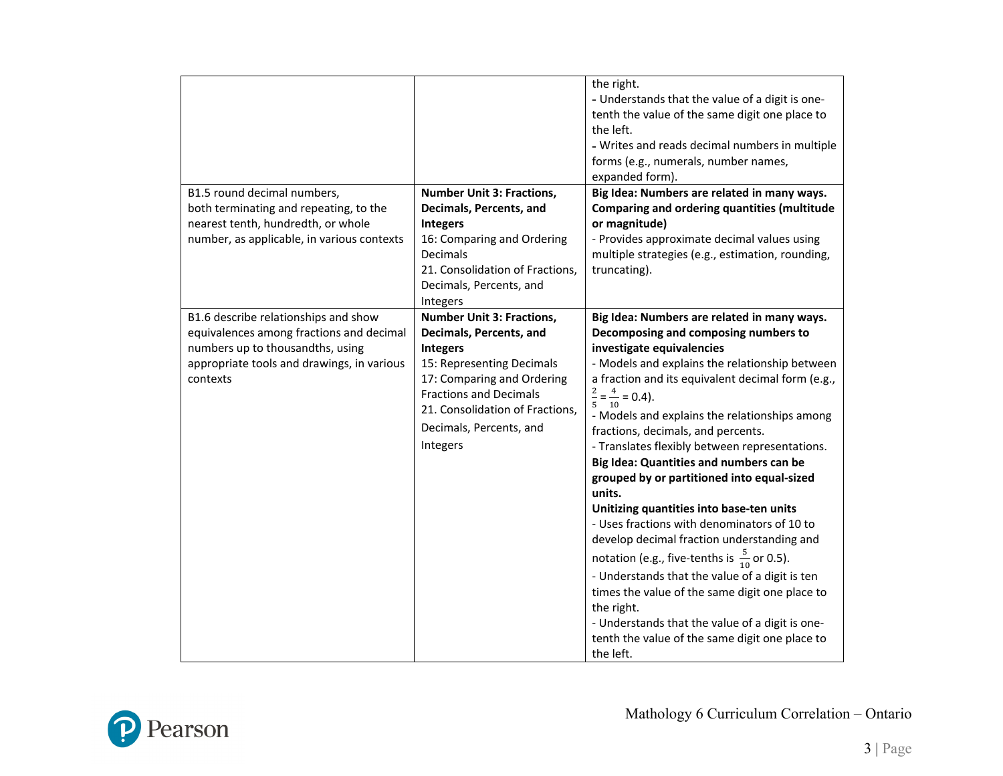|                                            |                                                                  | the right.<br>- Understands that the value of a digit is one-<br>tenth the value of the same digit one place to<br>the left.<br>- Writes and reads decimal numbers in multiple<br>forms (e.g., numerals, number names,<br>expanded form). |
|--------------------------------------------|------------------------------------------------------------------|-------------------------------------------------------------------------------------------------------------------------------------------------------------------------------------------------------------------------------------------|
| B1.5 round decimal numbers,                | <b>Number Unit 3: Fractions,</b>                                 | Big Idea: Numbers are related in many ways.                                                                                                                                                                                               |
| both terminating and repeating, to the     | Decimals, Percents, and                                          | Comparing and ordering quantities (multitude                                                                                                                                                                                              |
| nearest tenth, hundredth, or whole         | <b>Integers</b>                                                  | or magnitude)                                                                                                                                                                                                                             |
| number, as applicable, in various contexts | 16: Comparing and Ordering                                       | - Provides approximate decimal values using                                                                                                                                                                                               |
|                                            | Decimals                                                         | multiple strategies (e.g., estimation, rounding,                                                                                                                                                                                          |
|                                            | 21. Consolidation of Fractions,                                  | truncating).                                                                                                                                                                                                                              |
|                                            | Decimals, Percents, and                                          |                                                                                                                                                                                                                                           |
|                                            | Integers                                                         |                                                                                                                                                                                                                                           |
| B1.6 describe relationships and show       | <b>Number Unit 3: Fractions,</b>                                 | Big Idea: Numbers are related in many ways.                                                                                                                                                                                               |
| equivalences among fractions and decimal   | Decimals, Percents, and                                          | Decomposing and composing numbers to                                                                                                                                                                                                      |
| numbers up to thousandths, using           | <b>Integers</b>                                                  | investigate equivalencies                                                                                                                                                                                                                 |
| appropriate tools and drawings, in various | 15: Representing Decimals                                        | - Models and explains the relationship between                                                                                                                                                                                            |
| contexts                                   | 17: Comparing and Ordering                                       | a fraction and its equivalent decimal form (e.g.,                                                                                                                                                                                         |
|                                            | <b>Fractions and Decimals</b><br>21. Consolidation of Fractions, | $\frac{2}{5} = \frac{4}{10} = 0.4$ .                                                                                                                                                                                                      |
|                                            | Decimals, Percents, and                                          | - Models and explains the relationships among<br>fractions, decimals, and percents.                                                                                                                                                       |
|                                            | Integers                                                         | - Translates flexibly between representations.                                                                                                                                                                                            |
|                                            |                                                                  | Big Idea: Quantities and numbers can be                                                                                                                                                                                                   |
|                                            |                                                                  | grouped by or partitioned into equal-sized                                                                                                                                                                                                |
|                                            |                                                                  | units.                                                                                                                                                                                                                                    |
|                                            |                                                                  | Unitizing quantities into base-ten units                                                                                                                                                                                                  |
|                                            |                                                                  | - Uses fractions with denominators of 10 to                                                                                                                                                                                               |
|                                            |                                                                  | develop decimal fraction understanding and                                                                                                                                                                                                |
|                                            |                                                                  | notation (e.g., five-tenths is $\frac{5}{10}$ or 0.5).                                                                                                                                                                                    |
|                                            |                                                                  | - Understands that the value of a digit is ten                                                                                                                                                                                            |
|                                            |                                                                  | times the value of the same digit one place to<br>the right.                                                                                                                                                                              |
|                                            |                                                                  | - Understands that the value of a digit is one-                                                                                                                                                                                           |
|                                            |                                                                  | tenth the value of the same digit one place to                                                                                                                                                                                            |
|                                            |                                                                  | the left.                                                                                                                                                                                                                                 |

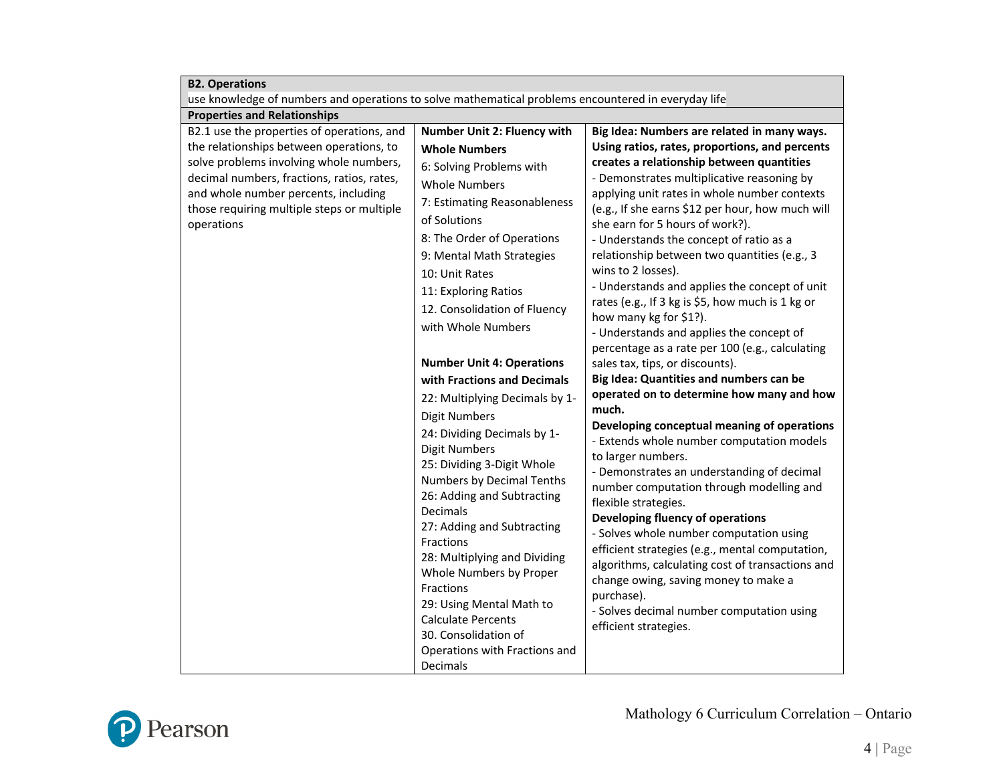| <b>B2. Operations</b>                                                                                                                                                                                                                                                               |                                                                                                                                                                                                                                                                                                                                                                                                                                                                                                                                                              |                                                                                                                                                                                                                                                                                                                                                                                                                                                                                                                                                                                                                                                                                                                                                                                                                        |  |
|-------------------------------------------------------------------------------------------------------------------------------------------------------------------------------------------------------------------------------------------------------------------------------------|--------------------------------------------------------------------------------------------------------------------------------------------------------------------------------------------------------------------------------------------------------------------------------------------------------------------------------------------------------------------------------------------------------------------------------------------------------------------------------------------------------------------------------------------------------------|------------------------------------------------------------------------------------------------------------------------------------------------------------------------------------------------------------------------------------------------------------------------------------------------------------------------------------------------------------------------------------------------------------------------------------------------------------------------------------------------------------------------------------------------------------------------------------------------------------------------------------------------------------------------------------------------------------------------------------------------------------------------------------------------------------------------|--|
|                                                                                                                                                                                                                                                                                     | use knowledge of numbers and operations to solve mathematical problems encountered in everyday life                                                                                                                                                                                                                                                                                                                                                                                                                                                          |                                                                                                                                                                                                                                                                                                                                                                                                                                                                                                                                                                                                                                                                                                                                                                                                                        |  |
| <b>Properties and Relationships</b>                                                                                                                                                                                                                                                 |                                                                                                                                                                                                                                                                                                                                                                                                                                                                                                                                                              |                                                                                                                                                                                                                                                                                                                                                                                                                                                                                                                                                                                                                                                                                                                                                                                                                        |  |
| B2.1 use the properties of operations, and<br>the relationships between operations, to<br>solve problems involving whole numbers,<br>decimal numbers, fractions, ratios, rates,<br>and whole number percents, including<br>those requiring multiple steps or multiple<br>operations | Number Unit 2: Fluency with<br><b>Whole Numbers</b><br>6: Solving Problems with<br><b>Whole Numbers</b><br>7: Estimating Reasonableness<br>of Solutions<br>8: The Order of Operations<br>9: Mental Math Strategies<br>10: Unit Rates<br>11: Exploring Ratios<br>12. Consolidation of Fluency                                                                                                                                                                                                                                                                 | Big Idea: Numbers are related in many ways.<br>Using ratios, rates, proportions, and percents<br>creates a relationship between quantities<br>- Demonstrates multiplicative reasoning by<br>applying unit rates in whole number contexts<br>(e.g., If she earns \$12 per hour, how much will<br>she earn for 5 hours of work?).<br>- Understands the concept of ratio as a<br>relationship between two quantities (e.g., 3<br>wins to 2 losses).<br>- Understands and applies the concept of unit<br>rates (e.g., If 3 kg is \$5, how much is 1 kg or                                                                                                                                                                                                                                                                  |  |
|                                                                                                                                                                                                                                                                                     | with Whole Numbers<br><b>Number Unit 4: Operations</b><br>with Fractions and Decimals<br>22: Multiplying Decimals by 1-<br><b>Digit Numbers</b><br>24: Dividing Decimals by 1-<br><b>Digit Numbers</b><br>25: Dividing 3-Digit Whole<br>Numbers by Decimal Tenths<br>26: Adding and Subtracting<br>Decimals<br>27: Adding and Subtracting<br>Fractions<br>28: Multiplying and Dividing<br>Whole Numbers by Proper<br>Fractions<br>29: Using Mental Math to<br><b>Calculate Percents</b><br>30. Consolidation of<br>Operations with Fractions and<br>Decimals | how many kg for \$1?).<br>- Understands and applies the concept of<br>percentage as a rate per 100 (e.g., calculating<br>sales tax, tips, or discounts).<br>Big Idea: Quantities and numbers can be<br>operated on to determine how many and how<br>much.<br>Developing conceptual meaning of operations<br>- Extends whole number computation models<br>to larger numbers.<br>- Demonstrates an understanding of decimal<br>number computation through modelling and<br>flexible strategies.<br><b>Developing fluency of operations</b><br>- Solves whole number computation using<br>efficient strategies (e.g., mental computation,<br>algorithms, calculating cost of transactions and<br>change owing, saving money to make a<br>purchase).<br>- Solves decimal number computation using<br>efficient strategies. |  |

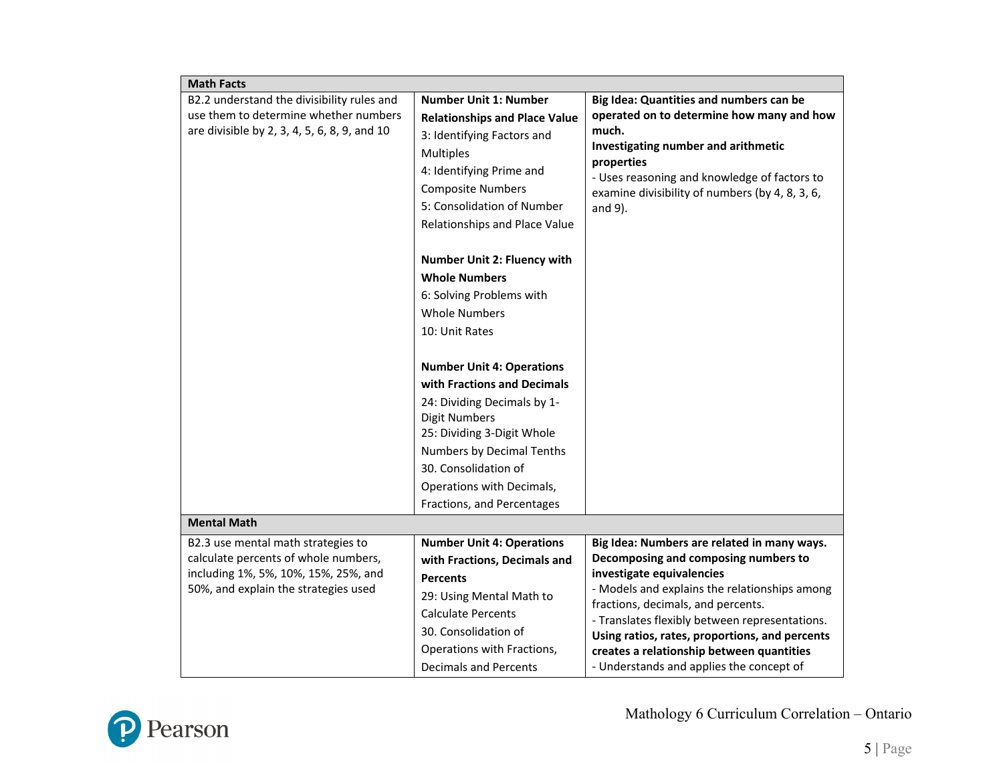| <b>Math Facts</b>                                                                                                                                          |                                                                                                                                                                                                                                                                                                                                                                                                                                                                                                                                                                 |                                                                                                                                                                                                                                                                                                                                                                                                      |
|------------------------------------------------------------------------------------------------------------------------------------------------------------|-----------------------------------------------------------------------------------------------------------------------------------------------------------------------------------------------------------------------------------------------------------------------------------------------------------------------------------------------------------------------------------------------------------------------------------------------------------------------------------------------------------------------------------------------------------------|------------------------------------------------------------------------------------------------------------------------------------------------------------------------------------------------------------------------------------------------------------------------------------------------------------------------------------------------------------------------------------------------------|
| B2.2 understand the divisibility rules and<br>use them to determine whether numbers<br>are divisible by 2, 3, 4, 5, 6, 8, 9, and 10                        | <b>Number Unit 1: Number</b><br><b>Relationships and Place Value</b><br>3: Identifying Factors and<br><b>Multiples</b><br>4: Identifying Prime and<br><b>Composite Numbers</b><br>5: Consolidation of Number<br>Relationships and Place Value<br>Number Unit 2: Fluency with<br><b>Whole Numbers</b><br>6: Solving Problems with<br><b>Whole Numbers</b><br>10: Unit Rates<br><b>Number Unit 4: Operations</b><br>with Fractions and Decimals<br>24: Dividing Decimals by 1-<br><b>Digit Numbers</b><br>25: Dividing 3-Digit Whole<br>Numbers by Decimal Tenths | Big Idea: Quantities and numbers can be<br>operated on to determine how many and how<br>much.<br>Investigating number and arithmetic<br>properties<br>- Uses reasoning and knowledge of factors to<br>examine divisibility of numbers (by 4, 8, 3, 6,<br>and $9$ ).                                                                                                                                  |
|                                                                                                                                                            | 30. Consolidation of<br>Operations with Decimals,<br>Fractions, and Percentages                                                                                                                                                                                                                                                                                                                                                                                                                                                                                 |                                                                                                                                                                                                                                                                                                                                                                                                      |
| <b>Mental Math</b>                                                                                                                                         |                                                                                                                                                                                                                                                                                                                                                                                                                                                                                                                                                                 |                                                                                                                                                                                                                                                                                                                                                                                                      |
| B2.3 use mental math strategies to<br>calculate percents of whole numbers,<br>including 1%, 5%, 10%, 15%, 25%, and<br>50%, and explain the strategies used | <b>Number Unit 4: Operations</b><br>with Fractions, Decimals and<br><b>Percents</b><br>29: Using Mental Math to<br><b>Calculate Percents</b><br>30. Consolidation of<br>Operations with Fractions,<br><b>Decimals and Percents</b>                                                                                                                                                                                                                                                                                                                              | Big Idea: Numbers are related in many ways.<br>Decomposing and composing numbers to<br>investigate equivalencies<br>- Models and explains the relationships among<br>fractions, decimals, and percents.<br>- Translates flexibly between representations.<br>Using ratios, rates, proportions, and percents<br>creates a relationship between quantities<br>- Understands and applies the concept of |

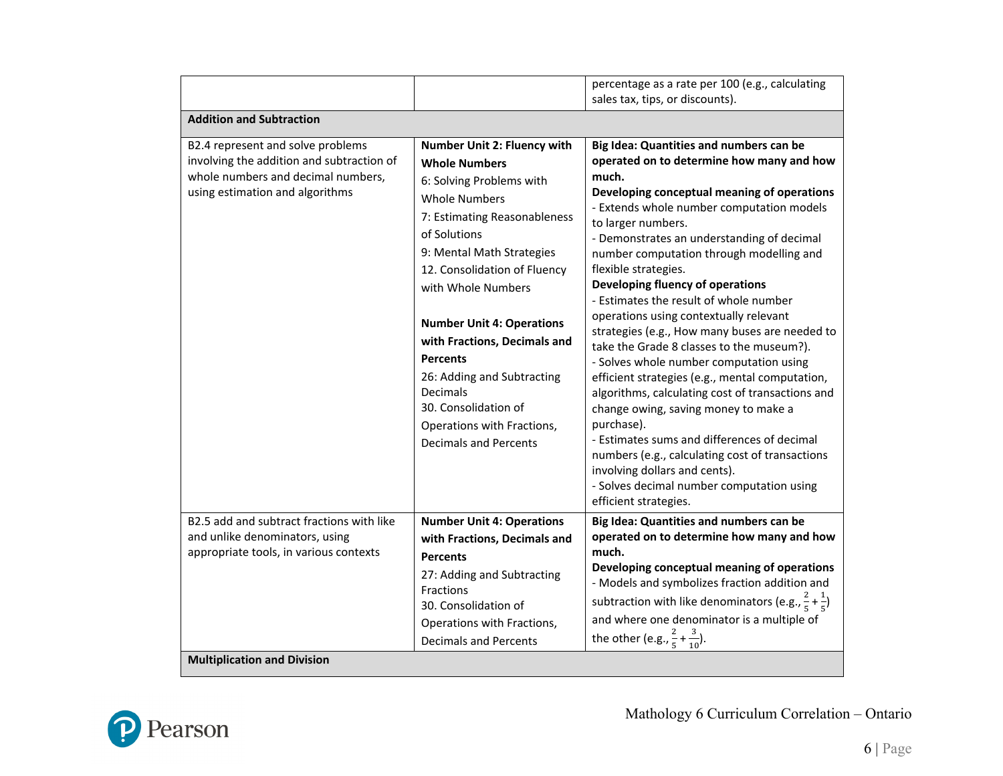|                                                                          |                                                                                                                                                                                                                                                         | percentage as a rate per 100 (e.g., calculating                                                                                                                                                                                                                                                                                                                                                                                                                                                       |
|--------------------------------------------------------------------------|---------------------------------------------------------------------------------------------------------------------------------------------------------------------------------------------------------------------------------------------------------|-------------------------------------------------------------------------------------------------------------------------------------------------------------------------------------------------------------------------------------------------------------------------------------------------------------------------------------------------------------------------------------------------------------------------------------------------------------------------------------------------------|
|                                                                          |                                                                                                                                                                                                                                                         | sales tax, tips, or discounts).                                                                                                                                                                                                                                                                                                                                                                                                                                                                       |
| <b>Addition and Subtraction</b>                                          |                                                                                                                                                                                                                                                         |                                                                                                                                                                                                                                                                                                                                                                                                                                                                                                       |
| B2.4 represent and solve problems                                        | <b>Number Unit 2: Fluency with</b>                                                                                                                                                                                                                      | Big Idea: Quantities and numbers can be                                                                                                                                                                                                                                                                                                                                                                                                                                                               |
| involving the addition and subtraction of                                | <b>Whole Numbers</b>                                                                                                                                                                                                                                    | operated on to determine how many and how                                                                                                                                                                                                                                                                                                                                                                                                                                                             |
| whole numbers and decimal numbers,<br>using estimation and algorithms    | 6: Solving Problems with<br><b>Whole Numbers</b><br>7: Estimating Reasonableness<br>of Solutions<br>9: Mental Math Strategies<br>12. Consolidation of Fluency<br>with Whole Numbers<br><b>Number Unit 4: Operations</b><br>with Fractions, Decimals and | much.<br>Developing conceptual meaning of operations<br>- Extends whole number computation models<br>to larger numbers.<br>- Demonstrates an understanding of decimal<br>number computation through modelling and<br>flexible strategies.<br>Developing fluency of operations<br>- Estimates the result of whole number<br>operations using contextually relevant<br>strategies (e.g., How many buses are needed to                                                                                   |
| B2.5 add and subtract fractions with like                                | <b>Percents</b><br>26: Adding and Subtracting<br><b>Decimals</b><br>30. Consolidation of<br>Operations with Fractions,<br>Decimals and Percents<br><b>Number Unit 4: Operations</b>                                                                     | take the Grade 8 classes to the museum?).<br>- Solves whole number computation using<br>efficient strategies (e.g., mental computation,<br>algorithms, calculating cost of transactions and<br>change owing, saving money to make a<br>purchase).<br>- Estimates sums and differences of decimal<br>numbers (e.g., calculating cost of transactions<br>involving dollars and cents).<br>- Solves decimal number computation using<br>efficient strategies.<br>Big Idea: Quantities and numbers can be |
| and unlike denominators, using<br>appropriate tools, in various contexts | with Fractions, Decimals and<br><b>Percents</b><br>27: Adding and Subtracting<br>Fractions<br>30. Consolidation of<br>Operations with Fractions,<br><b>Decimals and Percents</b>                                                                        | operated on to determine how many and how<br>much.<br>Developing conceptual meaning of operations<br>- Models and symbolizes fraction addition and<br>subtraction with like denominators (e.g., $\frac{2}{5} + \frac{1}{5}$ )<br>and where one denominator is a multiple of<br>the other (e.g., $\frac{2}{5} + \frac{3}{10}$ ).                                                                                                                                                                       |
| <b>Multiplication and Division</b>                                       |                                                                                                                                                                                                                                                         |                                                                                                                                                                                                                                                                                                                                                                                                                                                                                                       |

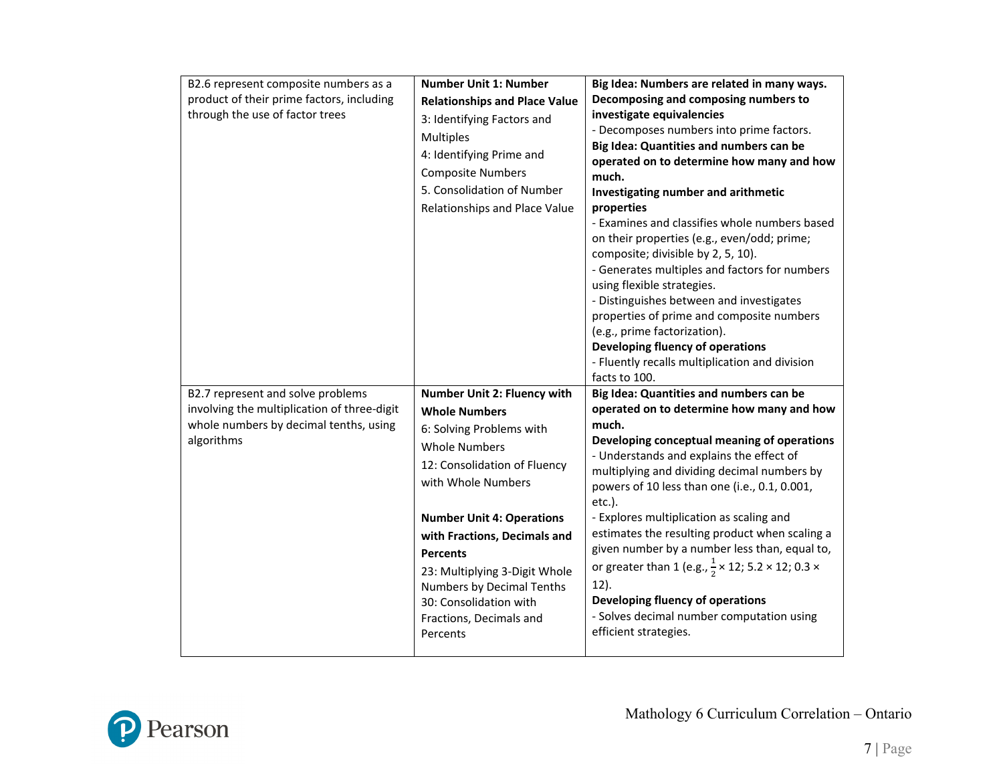| B2.6 represent composite numbers as a<br>product of their prime factors, including<br>through the use of factor trees                    | <b>Number Unit 1: Number</b><br><b>Relationships and Place Value</b><br>3: Identifying Factors and<br><b>Multiples</b><br>4: Identifying Prime and<br><b>Composite Numbers</b><br>5. Consolidation of Number<br>Relationships and Place Value                                                                                                                                       | Big Idea: Numbers are related in many ways.<br>Decomposing and composing numbers to<br>investigate equivalencies<br>- Decomposes numbers into prime factors.<br>Big Idea: Quantities and numbers can be<br>operated on to determine how many and how<br>much.<br>Investigating number and arithmetic<br>properties<br>- Examines and classifies whole numbers based<br>on their properties (e.g., even/odd; prime;<br>composite; divisible by 2, 5, 10).<br>- Generates multiples and factors for numbers<br>using flexible strategies.<br>- Distinguishes between and investigates<br>properties of prime and composite numbers<br>(e.g., prime factorization).<br>Developing fluency of operations<br>- Fluently recalls multiplication and division<br>facts to 100. |
|------------------------------------------------------------------------------------------------------------------------------------------|-------------------------------------------------------------------------------------------------------------------------------------------------------------------------------------------------------------------------------------------------------------------------------------------------------------------------------------------------------------------------------------|-------------------------------------------------------------------------------------------------------------------------------------------------------------------------------------------------------------------------------------------------------------------------------------------------------------------------------------------------------------------------------------------------------------------------------------------------------------------------------------------------------------------------------------------------------------------------------------------------------------------------------------------------------------------------------------------------------------------------------------------------------------------------|
| B2.7 represent and solve problems<br>involving the multiplication of three-digit<br>whole numbers by decimal tenths, using<br>algorithms | Number Unit 2: Fluency with<br><b>Whole Numbers</b><br>6: Solving Problems with<br><b>Whole Numbers</b><br>12: Consolidation of Fluency<br>with Whole Numbers<br><b>Number Unit 4: Operations</b><br>with Fractions, Decimals and<br><b>Percents</b><br>23: Multiplying 3-Digit Whole<br>Numbers by Decimal Tenths<br>30: Consolidation with<br>Fractions, Decimals and<br>Percents | Big Idea: Quantities and numbers can be<br>operated on to determine how many and how<br>much.<br>Developing conceptual meaning of operations<br>- Understands and explains the effect of<br>multiplying and dividing decimal numbers by<br>powers of 10 less than one (i.e., 0.1, 0.001,<br>$etc.$ ).<br>- Explores multiplication as scaling and<br>estimates the resulting product when scaling a<br>given number by a number less than, equal to,<br>or greater than 1 (e.g., $\frac{1}{2} \times 12$ ; 5.2 $\times$ 12; 0.3 $\times$<br>$12$ ).<br>Developing fluency of operations<br>- Solves decimal number computation using<br>efficient strategies.                                                                                                           |

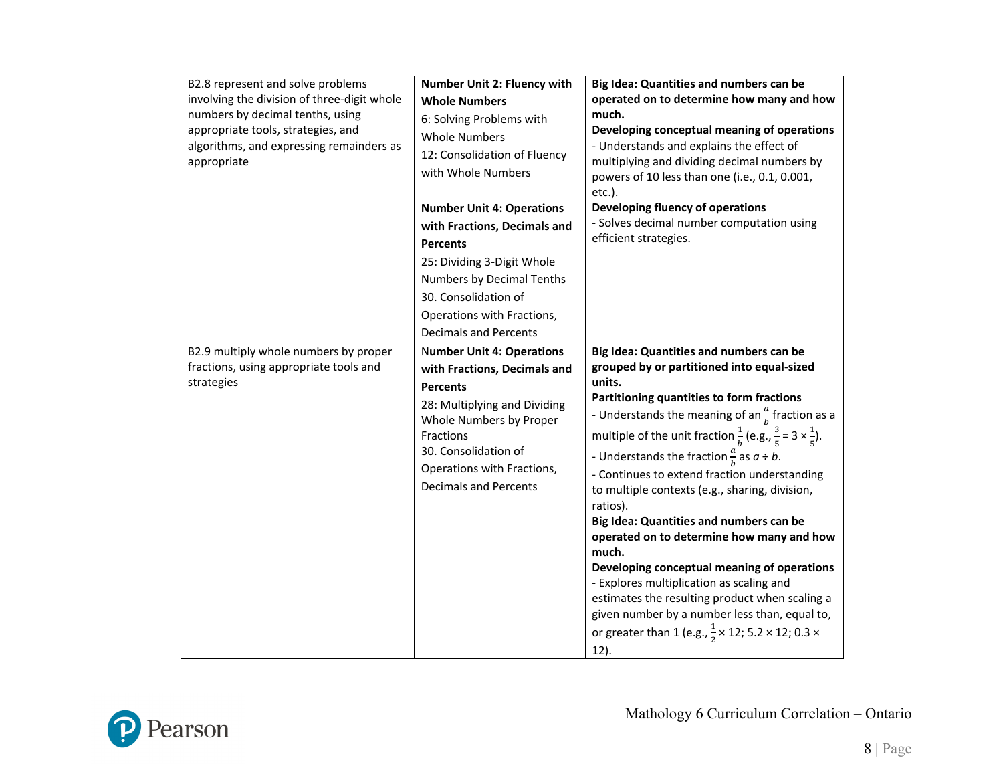| B2.8 represent and solve problems<br>involving the division of three-digit whole<br>numbers by decimal tenths, using<br>appropriate tools, strategies, and<br>algorithms, and expressing remainders as<br>appropriate | Number Unit 2: Fluency with<br><b>Whole Numbers</b><br>6: Solving Problems with<br><b>Whole Numbers</b><br>12: Consolidation of Fluency<br>with Whole Numbers<br><b>Number Unit 4: Operations</b><br>with Fractions, Decimals and<br><b>Percents</b><br>25: Dividing 3-Digit Whole<br>Numbers by Decimal Tenths<br>30. Consolidation of<br>Operations with Fractions,<br><b>Decimals and Percents</b> | Big Idea: Quantities and numbers can be<br>operated on to determine how many and how<br>much.<br>Developing conceptual meaning of operations<br>- Understands and explains the effect of<br>multiplying and dividing decimal numbers by<br>powers of 10 less than one (i.e., 0.1, 0.001,<br>$etc.$ ).<br>Developing fluency of operations<br>- Solves decimal number computation using<br>efficient strategies.                                                                                                                                                                                                                                                                                                                                                                                                                                                                  |
|-----------------------------------------------------------------------------------------------------------------------------------------------------------------------------------------------------------------------|-------------------------------------------------------------------------------------------------------------------------------------------------------------------------------------------------------------------------------------------------------------------------------------------------------------------------------------------------------------------------------------------------------|----------------------------------------------------------------------------------------------------------------------------------------------------------------------------------------------------------------------------------------------------------------------------------------------------------------------------------------------------------------------------------------------------------------------------------------------------------------------------------------------------------------------------------------------------------------------------------------------------------------------------------------------------------------------------------------------------------------------------------------------------------------------------------------------------------------------------------------------------------------------------------|
| B2.9 multiply whole numbers by proper<br>fractions, using appropriate tools and<br>strategies                                                                                                                         | <b>Number Unit 4: Operations</b><br>with Fractions, Decimals and<br><b>Percents</b><br>28: Multiplying and Dividing<br>Whole Numbers by Proper<br>Fractions<br>30. Consolidation of<br>Operations with Fractions,<br><b>Decimals and Percents</b>                                                                                                                                                     | Big Idea: Quantities and numbers can be<br>grouped by or partitioned into equal-sized<br>units.<br>Partitioning quantities to form fractions<br>- Understands the meaning of an $\frac{a}{b}$ fraction as a<br>multiple of the unit fraction $\frac{1}{b}$ (e.g., $\frac{3}{5}$ = 3 $\times \frac{1}{5}$ ).<br>- Understands the fraction $\frac{a}{b}$ as $a \div b$ .<br>- Continues to extend fraction understanding<br>to multiple contexts (e.g., sharing, division,<br>ratios).<br>Big Idea: Quantities and numbers can be<br>operated on to determine how many and how<br>much.<br>Developing conceptual meaning of operations<br>- Explores multiplication as scaling and<br>estimates the resulting product when scaling a<br>given number by a number less than, equal to,<br>or greater than 1 (e.g., $\frac{1}{2} \times 12$ ; 5.2 $\times$ 12; 0.3 $\times$<br>12). |

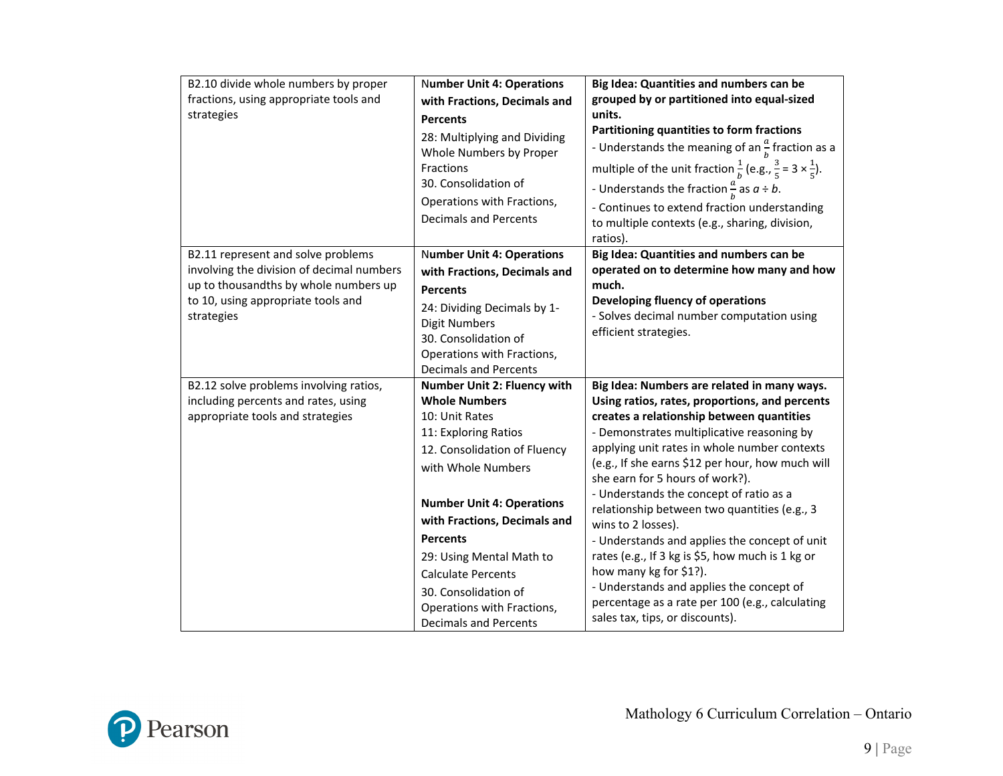| B2.10 divide whole numbers by proper<br>fractions, using appropriate tools and<br>strategies                                                                                 | <b>Number Unit 4: Operations</b><br>with Fractions, Decimals and<br><b>Percents</b><br>28: Multiplying and Dividing<br>Whole Numbers by Proper<br>Fractions<br>30. Consolidation of<br>Operations with Fractions,<br><b>Decimals and Percents</b>                                                                                                         | Big Idea: Quantities and numbers can be<br>grouped by or partitioned into equal-sized<br>units.<br>Partitioning quantities to form fractions<br>- Understands the meaning of an $\frac{a}{b}$ fraction as a<br>multiple of the unit fraction $\frac{1}{b}$ (e.g., $\frac{3}{5}$ = 3 $\times \frac{1}{5}$ ).<br>- Understands the fraction $\frac{a}{b}$ as $a \div b$ .<br>- Continues to extend fraction understanding<br>to multiple contexts (e.g., sharing, division,<br>ratios).                                                                                                                                                                                                                             |
|------------------------------------------------------------------------------------------------------------------------------------------------------------------------------|-----------------------------------------------------------------------------------------------------------------------------------------------------------------------------------------------------------------------------------------------------------------------------------------------------------------------------------------------------------|-------------------------------------------------------------------------------------------------------------------------------------------------------------------------------------------------------------------------------------------------------------------------------------------------------------------------------------------------------------------------------------------------------------------------------------------------------------------------------------------------------------------------------------------------------------------------------------------------------------------------------------------------------------------------------------------------------------------|
| B2.11 represent and solve problems<br>involving the division of decimal numbers<br>up to thousandths by whole numbers up<br>to 10, using appropriate tools and<br>strategies | <b>Number Unit 4: Operations</b><br>with Fractions, Decimals and<br><b>Percents</b><br>24: Dividing Decimals by 1-<br><b>Digit Numbers</b><br>30. Consolidation of<br>Operations with Fractions,<br><b>Decimals and Percents</b>                                                                                                                          | Big Idea: Quantities and numbers can be<br>operated on to determine how many and how<br>much.<br>Developing fluency of operations<br>- Solves decimal number computation using<br>efficient strategies.                                                                                                                                                                                                                                                                                                                                                                                                                                                                                                           |
| B2.12 solve problems involving ratios,<br>including percents and rates, using<br>appropriate tools and strategies                                                            | Number Unit 2: Fluency with<br><b>Whole Numbers</b><br>10: Unit Rates<br>11: Exploring Ratios<br>12. Consolidation of Fluency<br>with Whole Numbers<br><b>Number Unit 4: Operations</b><br>with Fractions, Decimals and<br><b>Percents</b><br>29: Using Mental Math to<br><b>Calculate Percents</b><br>30. Consolidation of<br>Operations with Fractions, | Big Idea: Numbers are related in many ways.<br>Using ratios, rates, proportions, and percents<br>creates a relationship between quantities<br>- Demonstrates multiplicative reasoning by<br>applying unit rates in whole number contexts<br>(e.g., If she earns \$12 per hour, how much will<br>she earn for 5 hours of work?).<br>- Understands the concept of ratio as a<br>relationship between two quantities (e.g., 3<br>wins to 2 losses).<br>- Understands and applies the concept of unit<br>rates (e.g., If 3 kg is \$5, how much is 1 kg or<br>how many kg for \$1?).<br>- Understands and applies the concept of<br>percentage as a rate per 100 (e.g., calculating<br>sales tax, tips, or discounts). |

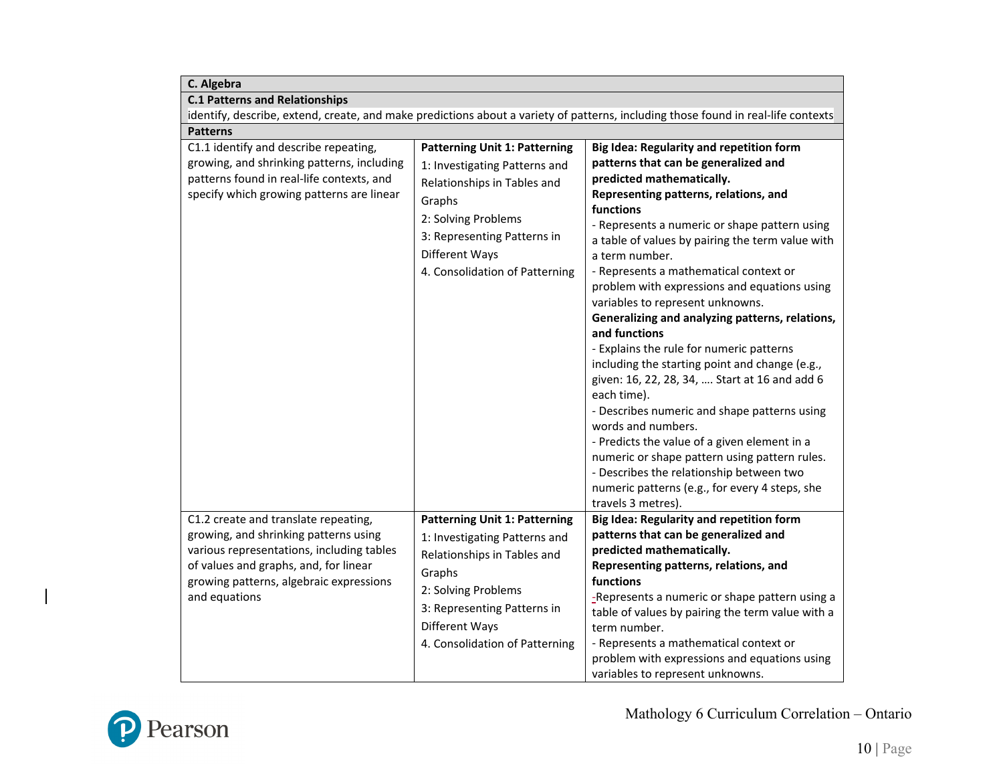| C. Algebra                                                                                                                                                                                                                      |                                                                                                                                                                                                                          |                                                                                                                                                                                                                                                                                                                                                                                                                                                                                                                                                                                                                                                                                                                                                                                                                                                                                                                                                              |
|---------------------------------------------------------------------------------------------------------------------------------------------------------------------------------------------------------------------------------|--------------------------------------------------------------------------------------------------------------------------------------------------------------------------------------------------------------------------|--------------------------------------------------------------------------------------------------------------------------------------------------------------------------------------------------------------------------------------------------------------------------------------------------------------------------------------------------------------------------------------------------------------------------------------------------------------------------------------------------------------------------------------------------------------------------------------------------------------------------------------------------------------------------------------------------------------------------------------------------------------------------------------------------------------------------------------------------------------------------------------------------------------------------------------------------------------|
| <b>C.1 Patterns and Relationships</b>                                                                                                                                                                                           |                                                                                                                                                                                                                          |                                                                                                                                                                                                                                                                                                                                                                                                                                                                                                                                                                                                                                                                                                                                                                                                                                                                                                                                                              |
| identify, describe, extend, create, and make predictions about a variety of patterns, including those found in real-life contexts                                                                                               |                                                                                                                                                                                                                          |                                                                                                                                                                                                                                                                                                                                                                                                                                                                                                                                                                                                                                                                                                                                                                                                                                                                                                                                                              |
| <b>Patterns</b>                                                                                                                                                                                                                 |                                                                                                                                                                                                                          |                                                                                                                                                                                                                                                                                                                                                                                                                                                                                                                                                                                                                                                                                                                                                                                                                                                                                                                                                              |
| C1.1 identify and describe repeating,<br>growing, and shrinking patterns, including<br>patterns found in real-life contexts, and<br>specify which growing patterns are linear                                                   | <b>Patterning Unit 1: Patterning</b><br>1: Investigating Patterns and<br>Relationships in Tables and<br>Graphs<br>2: Solving Problems<br>3: Representing Patterns in<br>Different Ways<br>4. Consolidation of Patterning | <b>Big Idea: Regularity and repetition form</b><br>patterns that can be generalized and<br>predicted mathematically.<br>Representing patterns, relations, and<br>functions<br>- Represents a numeric or shape pattern using<br>a table of values by pairing the term value with<br>a term number.<br>- Represents a mathematical context or<br>problem with expressions and equations using<br>variables to represent unknowns.<br>Generalizing and analyzing patterns, relations,<br>and functions<br>- Explains the rule for numeric patterns<br>including the starting point and change (e.g.,<br>given: 16, 22, 28, 34,  Start at 16 and add 6<br>each time).<br>- Describes numeric and shape patterns using<br>words and numbers.<br>- Predicts the value of a given element in a<br>numeric or shape pattern using pattern rules.<br>- Describes the relationship between two<br>numeric patterns (e.g., for every 4 steps, she<br>travels 3 metres). |
| C1.2 create and translate repeating,<br>growing, and shrinking patterns using<br>various representations, including tables<br>of values and graphs, and, for linear<br>growing patterns, algebraic expressions<br>and equations | <b>Patterning Unit 1: Patterning</b><br>1: Investigating Patterns and<br>Relationships in Tables and<br>Graphs<br>2: Solving Problems<br>3: Representing Patterns in<br>Different Ways<br>4. Consolidation of Patterning | Big Idea: Regularity and repetition form<br>patterns that can be generalized and<br>predicted mathematically.<br>Representing patterns, relations, and<br>functions<br>-Represents a numeric or shape pattern using a<br>table of values by pairing the term value with a<br>term number.<br>- Represents a mathematical context or<br>problem with expressions and equations using<br>variables to represent unknowns.                                                                                                                                                                                                                                                                                                                                                                                                                                                                                                                                      |



 $\overline{\phantom{a}}$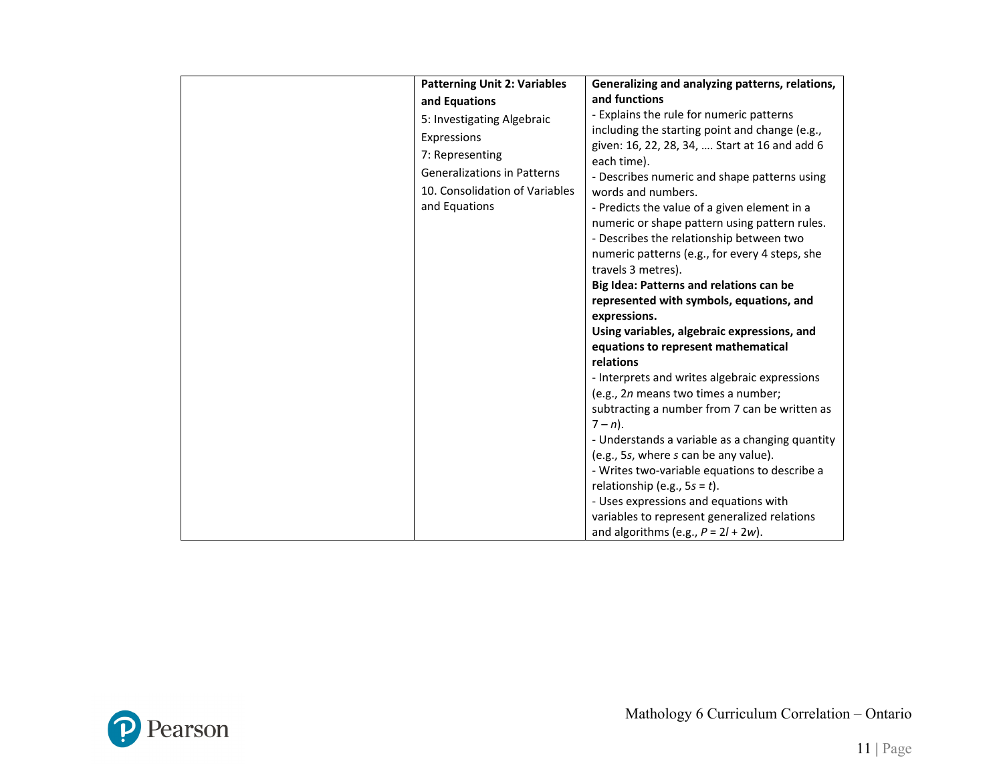| <b>Patterning Unit 2: Variables</b> | Generalizing and analyzing patterns, relations,                      |
|-------------------------------------|----------------------------------------------------------------------|
| and Equations                       | and functions                                                        |
| 5: Investigating Algebraic          | - Explains the rule for numeric patterns                             |
| Expressions                         | including the starting point and change (e.g.,                       |
| 7: Representing                     | given: 16, 22, 28, 34,  Start at 16 and add 6                        |
| <b>Generalizations in Patterns</b>  | each time).                                                          |
|                                     | - Describes numeric and shape patterns using                         |
| 10. Consolidation of Variables      | words and numbers.                                                   |
| and Equations                       | - Predicts the value of a given element in a                         |
|                                     | numeric or shape pattern using pattern rules.                        |
|                                     | - Describes the relationship between two                             |
|                                     | numeric patterns (e.g., for every 4 steps, she<br>travels 3 metres). |
|                                     | Big Idea: Patterns and relations can be                              |
|                                     | represented with symbols, equations, and                             |
|                                     | expressions.                                                         |
|                                     | Using variables, algebraic expressions, and                          |
|                                     | equations to represent mathematical                                  |
|                                     | relations                                                            |
|                                     | - Interprets and writes algebraic expressions                        |
|                                     | (e.g., 2n means two times a number;                                  |
|                                     | subtracting a number from 7 can be written as                        |
|                                     | $7 - n$ ).                                                           |
|                                     | - Understands a variable as a changing quantity                      |
|                                     | (e.g., 5s, where s can be any value).                                |
|                                     | - Writes two-variable equations to describe a                        |
|                                     | relationship (e.g., $5s = t$ ).                                      |
|                                     | - Uses expressions and equations with                                |
|                                     | variables to represent generalized relations                         |
|                                     | and algorithms (e.g., $P = 2l + 2w$ ).                               |

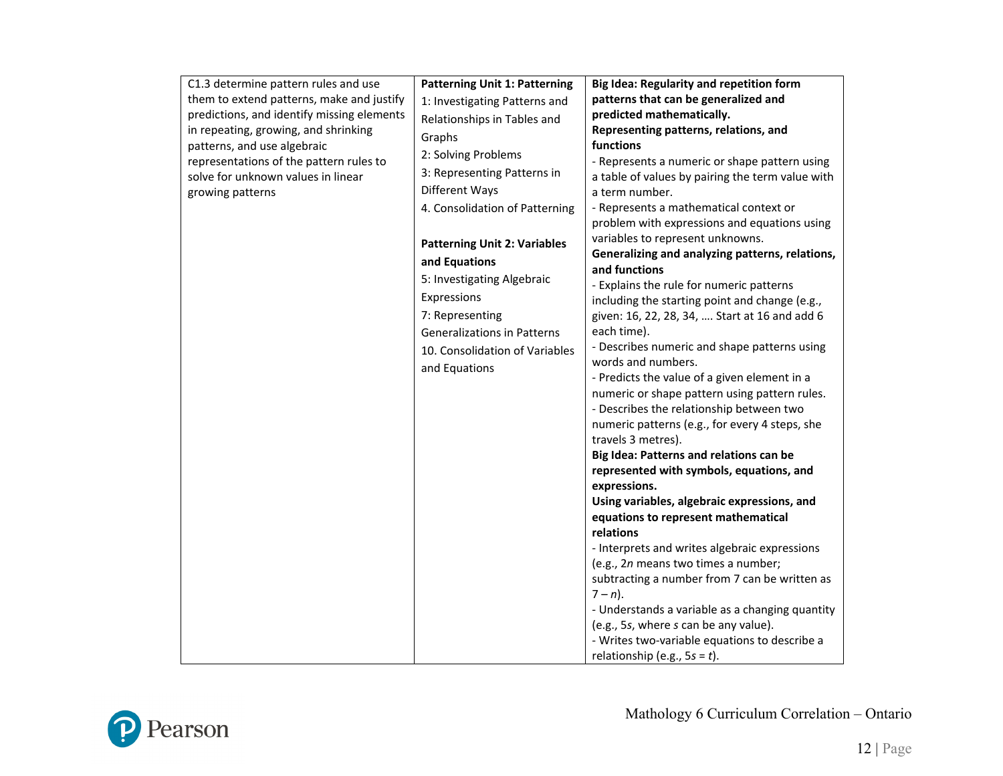| C1.3 determine pattern rules and use       | <b>Patterning Unit 1: Patterning</b> | Big Idea: Regularity and repetition form                                                                                                                                                                 |
|--------------------------------------------|--------------------------------------|----------------------------------------------------------------------------------------------------------------------------------------------------------------------------------------------------------|
| them to extend patterns, make and justify  | 1: Investigating Patterns and        | patterns that can be generalized and                                                                                                                                                                     |
| predictions, and identify missing elements | Relationships in Tables and          | predicted mathematically.                                                                                                                                                                                |
| in repeating, growing, and shrinking       | Graphs                               | Representing patterns, relations, and                                                                                                                                                                    |
| patterns, and use algebraic                |                                      | functions                                                                                                                                                                                                |
| representations of the pattern rules to    | 2: Solving Problems                  | - Represents a numeric or shape pattern using                                                                                                                                                            |
| solve for unknown values in linear         | 3: Representing Patterns in          | a table of values by pairing the term value with                                                                                                                                                         |
| growing patterns                           | Different Ways                       | a term number.                                                                                                                                                                                           |
|                                            | 4. Consolidation of Patterning       | - Represents a mathematical context or                                                                                                                                                                   |
|                                            |                                      | problem with expressions and equations using                                                                                                                                                             |
|                                            | <b>Patterning Unit 2: Variables</b>  | variables to represent unknowns.                                                                                                                                                                         |
|                                            | and Equations                        | Generalizing and analyzing patterns, relations,                                                                                                                                                          |
|                                            | 5: Investigating Algebraic           | and functions                                                                                                                                                                                            |
|                                            |                                      | - Explains the rule for numeric patterns                                                                                                                                                                 |
|                                            | Expressions                          | including the starting point and change (e.g.,                                                                                                                                                           |
|                                            | 7: Representing                      | given: 16, 22, 28, 34,  Start at 16 and add 6                                                                                                                                                            |
|                                            | <b>Generalizations in Patterns</b>   | each time).                                                                                                                                                                                              |
|                                            | 10. Consolidation of Variables       | - Describes numeric and shape patterns using                                                                                                                                                             |
|                                            | and Equations                        | words and numbers.                                                                                                                                                                                       |
|                                            |                                      | - Predicts the value of a given element in a                                                                                                                                                             |
|                                            |                                      | numeric or shape pattern using pattern rules.                                                                                                                                                            |
|                                            |                                      | - Describes the relationship between two                                                                                                                                                                 |
|                                            |                                      | numeric patterns (e.g., for every 4 steps, she                                                                                                                                                           |
|                                            |                                      | travels 3 metres).                                                                                                                                                                                       |
|                                            |                                      | Big Idea: Patterns and relations can be                                                                                                                                                                  |
|                                            |                                      | represented with symbols, equations, and                                                                                                                                                                 |
|                                            |                                      | expressions.                                                                                                                                                                                             |
|                                            |                                      | Using variables, algebraic expressions, and                                                                                                                                                              |
|                                            |                                      | equations to represent mathematical<br>relations                                                                                                                                                         |
|                                            |                                      |                                                                                                                                                                                                          |
|                                            |                                      | - Interprets and writes algebraic expressions                                                                                                                                                            |
|                                            |                                      | (e.g., 2n means two times a number;                                                                                                                                                                      |
|                                            |                                      |                                                                                                                                                                                                          |
|                                            |                                      |                                                                                                                                                                                                          |
|                                            |                                      |                                                                                                                                                                                                          |
|                                            |                                      |                                                                                                                                                                                                          |
|                                            |                                      |                                                                                                                                                                                                          |
|                                            |                                      | subtracting a number from 7 can be written as<br>$7 - n$ ).<br>- Understands a variable as a changing quantity<br>(e.g., 5s, where s can be any value).<br>- Writes two-variable equations to describe a |

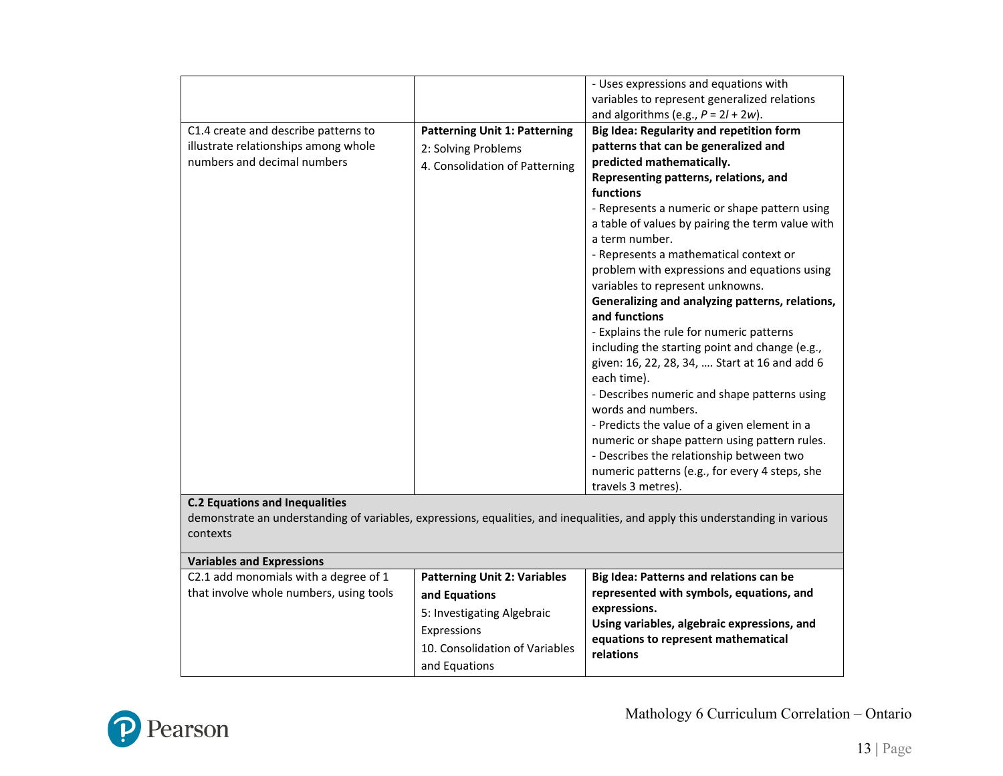|                                         |                                      | - Uses expressions and equations with                                                                                         |
|-----------------------------------------|--------------------------------------|-------------------------------------------------------------------------------------------------------------------------------|
|                                         |                                      | variables to represent generalized relations                                                                                  |
|                                         |                                      | and algorithms (e.g., $P = 2l + 2w$ ).                                                                                        |
| C1.4 create and describe patterns to    | <b>Patterning Unit 1: Patterning</b> | Big Idea: Regularity and repetition form                                                                                      |
| illustrate relationships among whole    | 2: Solving Problems                  | patterns that can be generalized and                                                                                          |
| numbers and decimal numbers             | 4. Consolidation of Patterning       | predicted mathematically.                                                                                                     |
|                                         |                                      | Representing patterns, relations, and                                                                                         |
|                                         |                                      | functions                                                                                                                     |
|                                         |                                      | - Represents a numeric or shape pattern using                                                                                 |
|                                         |                                      | a table of values by pairing the term value with                                                                              |
|                                         |                                      | a term number.                                                                                                                |
|                                         |                                      | - Represents a mathematical context or                                                                                        |
|                                         |                                      | problem with expressions and equations using                                                                                  |
|                                         |                                      | variables to represent unknowns.                                                                                              |
|                                         |                                      | Generalizing and analyzing patterns, relations,                                                                               |
|                                         |                                      | and functions                                                                                                                 |
|                                         |                                      | - Explains the rule for numeric patterns                                                                                      |
|                                         |                                      | including the starting point and change (e.g.,                                                                                |
|                                         |                                      | given: 16, 22, 28, 34,  Start at 16 and add 6                                                                                 |
|                                         |                                      | each time).                                                                                                                   |
|                                         |                                      | - Describes numeric and shape patterns using                                                                                  |
|                                         |                                      | words and numbers.                                                                                                            |
|                                         |                                      | - Predicts the value of a given element in a                                                                                  |
|                                         |                                      | numeric or shape pattern using pattern rules.                                                                                 |
|                                         |                                      | - Describes the relationship between two                                                                                      |
|                                         |                                      | numeric patterns (e.g., for every 4 steps, she                                                                                |
|                                         |                                      | travels 3 metres).                                                                                                            |
| <b>C.2 Equations and Inequalities</b>   |                                      |                                                                                                                               |
|                                         |                                      | demonstrate an understanding of variables, expressions, equalities, and inequalities, and apply this understanding in various |
| contexts                                |                                      |                                                                                                                               |
| <b>Variables and Expressions</b>        |                                      |                                                                                                                               |
| C2.1 add monomials with a degree of 1   | <b>Patterning Unit 2: Variables</b>  | Big Idea: Patterns and relations can be                                                                                       |
| that involve whole numbers, using tools | and Equations                        | represented with symbols, equations, and                                                                                      |
|                                         | 5: Investigating Algebraic           | expressions.                                                                                                                  |
|                                         |                                      | Using variables, algebraic expressions, and                                                                                   |
|                                         | Expressions                          | equations to represent mathematical                                                                                           |
|                                         | 10. Consolidation of Variables       | relations                                                                                                                     |
|                                         | and Equations                        |                                                                                                                               |

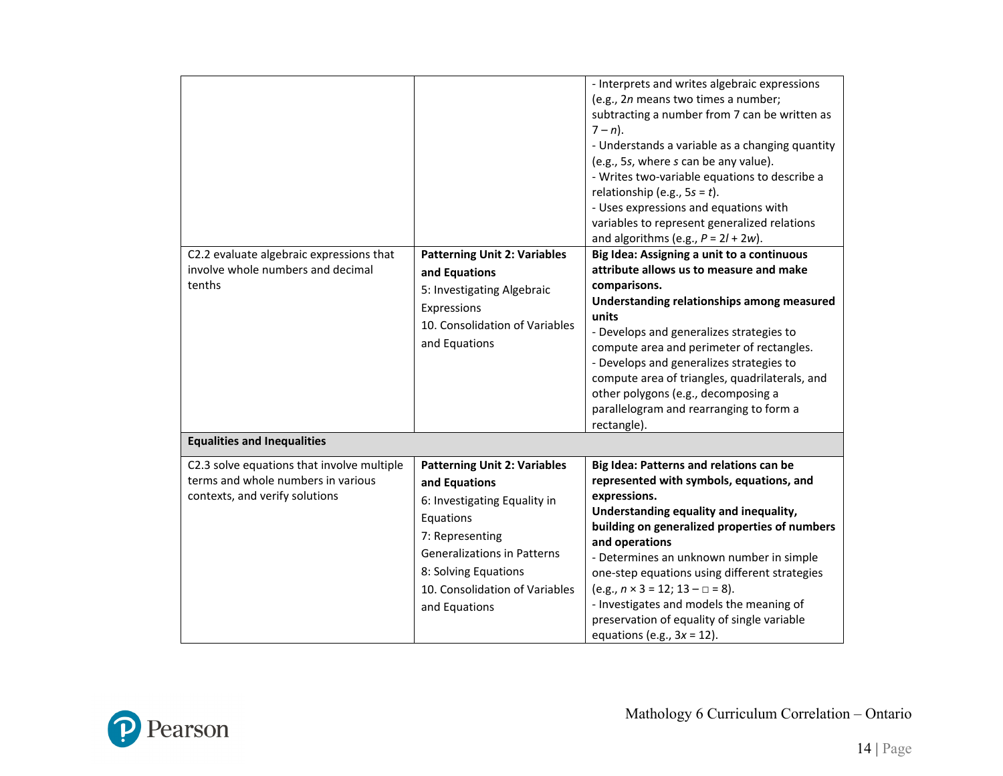|                                            |                                     | - Interprets and writes algebraic expressions<br>(e.g., 2n means two times a number;<br>subtracting a number from 7 can be written as<br>$7 - n$ ).<br>- Understands a variable as a changing quantity<br>(e.g., 5s, where s can be any value).<br>- Writes two-variable equations to describe a<br>relationship (e.g., $5s = t$ ).<br>- Uses expressions and equations with<br>variables to represent generalized relations<br>and algorithms (e.g., $P = 2l + 2w$ ). |
|--------------------------------------------|-------------------------------------|------------------------------------------------------------------------------------------------------------------------------------------------------------------------------------------------------------------------------------------------------------------------------------------------------------------------------------------------------------------------------------------------------------------------------------------------------------------------|
| C2.2 evaluate algebraic expressions that   | <b>Patterning Unit 2: Variables</b> | Big Idea: Assigning a unit to a continuous                                                                                                                                                                                                                                                                                                                                                                                                                             |
| involve whole numbers and decimal          | and Equations                       | attribute allows us to measure and make                                                                                                                                                                                                                                                                                                                                                                                                                                |
| tenths                                     | 5: Investigating Algebraic          | comparisons.<br>Understanding relationships among measured                                                                                                                                                                                                                                                                                                                                                                                                             |
|                                            | Expressions                         | units                                                                                                                                                                                                                                                                                                                                                                                                                                                                  |
|                                            | 10. Consolidation of Variables      | - Develops and generalizes strategies to                                                                                                                                                                                                                                                                                                                                                                                                                               |
|                                            | and Equations                       | compute area and perimeter of rectangles.                                                                                                                                                                                                                                                                                                                                                                                                                              |
|                                            |                                     | - Develops and generalizes strategies to<br>compute area of triangles, quadrilaterals, and                                                                                                                                                                                                                                                                                                                                                                             |
|                                            |                                     | other polygons (e.g., decomposing a                                                                                                                                                                                                                                                                                                                                                                                                                                    |
|                                            |                                     | parallelogram and rearranging to form a                                                                                                                                                                                                                                                                                                                                                                                                                                |
|                                            |                                     | rectangle).                                                                                                                                                                                                                                                                                                                                                                                                                                                            |
| <b>Equalities and Inequalities</b>         |                                     |                                                                                                                                                                                                                                                                                                                                                                                                                                                                        |
| C2.3 solve equations that involve multiple | <b>Patterning Unit 2: Variables</b> | Big Idea: Patterns and relations can be                                                                                                                                                                                                                                                                                                                                                                                                                                |
| terms and whole numbers in various         | and Equations                       | represented with symbols, equations, and                                                                                                                                                                                                                                                                                                                                                                                                                               |
| contexts, and verify solutions             | 6: Investigating Equality in        | expressions.                                                                                                                                                                                                                                                                                                                                                                                                                                                           |
|                                            | Equations                           | Understanding equality and inequality,<br>building on generalized properties of numbers                                                                                                                                                                                                                                                                                                                                                                                |
|                                            | 7: Representing                     | and operations                                                                                                                                                                                                                                                                                                                                                                                                                                                         |
|                                            | <b>Generalizations in Patterns</b>  | - Determines an unknown number in simple                                                                                                                                                                                                                                                                                                                                                                                                                               |
|                                            | 8: Solving Equations                | one-step equations using different strategies                                                                                                                                                                                                                                                                                                                                                                                                                          |
|                                            | 10. Consolidation of Variables      | $(e.g., n \times 3 = 12; 13 - \square = 8).$                                                                                                                                                                                                                                                                                                                                                                                                                           |
|                                            | and Equations                       | - Investigates and models the meaning of<br>preservation of equality of single variable                                                                                                                                                                                                                                                                                                                                                                                |
|                                            |                                     | equations (e.g., $3x = 12$ ).                                                                                                                                                                                                                                                                                                                                                                                                                                          |

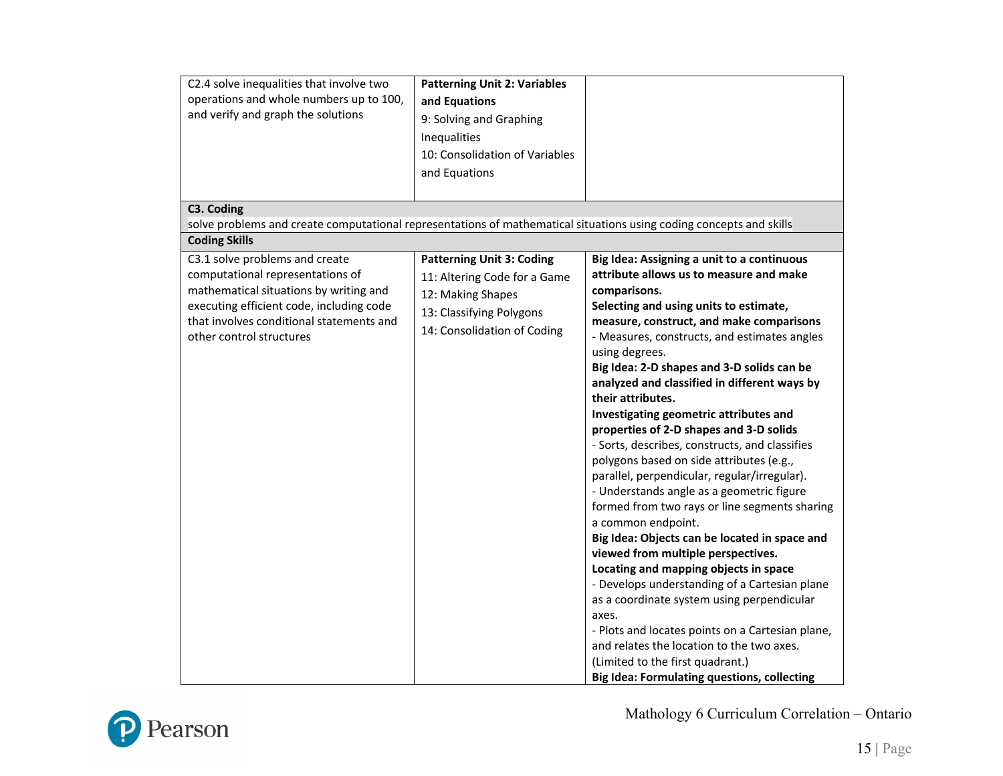| C2.4 solve inequalities that involve two<br>operations and whole numbers up to 100,<br>and verify and graph the solutions                                                                                                        | <b>Patterning Unit 2: Variables</b><br>and Equations<br>9: Solving and Graphing<br>Inequalities                                                  |                                                                                                                                                                                                                                                                                                                                                                                                                                                                                                                                                                                                                                                                                                                                                                                                                                                                                                                                                                                                                                                                                                                                                                            |
|----------------------------------------------------------------------------------------------------------------------------------------------------------------------------------------------------------------------------------|--------------------------------------------------------------------------------------------------------------------------------------------------|----------------------------------------------------------------------------------------------------------------------------------------------------------------------------------------------------------------------------------------------------------------------------------------------------------------------------------------------------------------------------------------------------------------------------------------------------------------------------------------------------------------------------------------------------------------------------------------------------------------------------------------------------------------------------------------------------------------------------------------------------------------------------------------------------------------------------------------------------------------------------------------------------------------------------------------------------------------------------------------------------------------------------------------------------------------------------------------------------------------------------------------------------------------------------|
|                                                                                                                                                                                                                                  | 10: Consolidation of Variables<br>and Equations                                                                                                  |                                                                                                                                                                                                                                                                                                                                                                                                                                                                                                                                                                                                                                                                                                                                                                                                                                                                                                                                                                                                                                                                                                                                                                            |
| C3. Coding<br>solve problems and create computational representations of mathematical situations using coding concepts and skills                                                                                                |                                                                                                                                                  |                                                                                                                                                                                                                                                                                                                                                                                                                                                                                                                                                                                                                                                                                                                                                                                                                                                                                                                                                                                                                                                                                                                                                                            |
| <b>Coding Skills</b>                                                                                                                                                                                                             |                                                                                                                                                  |                                                                                                                                                                                                                                                                                                                                                                                                                                                                                                                                                                                                                                                                                                                                                                                                                                                                                                                                                                                                                                                                                                                                                                            |
| C3.1 solve problems and create<br>computational representations of<br>mathematical situations by writing and<br>executing efficient code, including code<br>that involves conditional statements and<br>other control structures | <b>Patterning Unit 3: Coding</b><br>11: Altering Code for a Game<br>12: Making Shapes<br>13: Classifying Polygons<br>14: Consolidation of Coding | Big Idea: Assigning a unit to a continuous<br>attribute allows us to measure and make<br>comparisons.<br>Selecting and using units to estimate,<br>measure, construct, and make comparisons<br>- Measures, constructs, and estimates angles<br>using degrees.<br>Big Idea: 2-D shapes and 3-D solids can be<br>analyzed and classified in different ways by<br>their attributes.<br>Investigating geometric attributes and<br>properties of 2-D shapes and 3-D solids<br>- Sorts, describes, constructs, and classifies<br>polygons based on side attributes (e.g.,<br>parallel, perpendicular, regular/irregular).<br>- Understands angle as a geometric figure<br>formed from two rays or line segments sharing<br>a common endpoint.<br>Big Idea: Objects can be located in space and<br>viewed from multiple perspectives.<br>Locating and mapping objects in space<br>- Develops understanding of a Cartesian plane<br>as a coordinate system using perpendicular<br>axes.<br>- Plots and locates points on a Cartesian plane,<br>and relates the location to the two axes.<br>(Limited to the first quadrant.)<br><b>Big Idea: Formulating questions, collecting</b> |

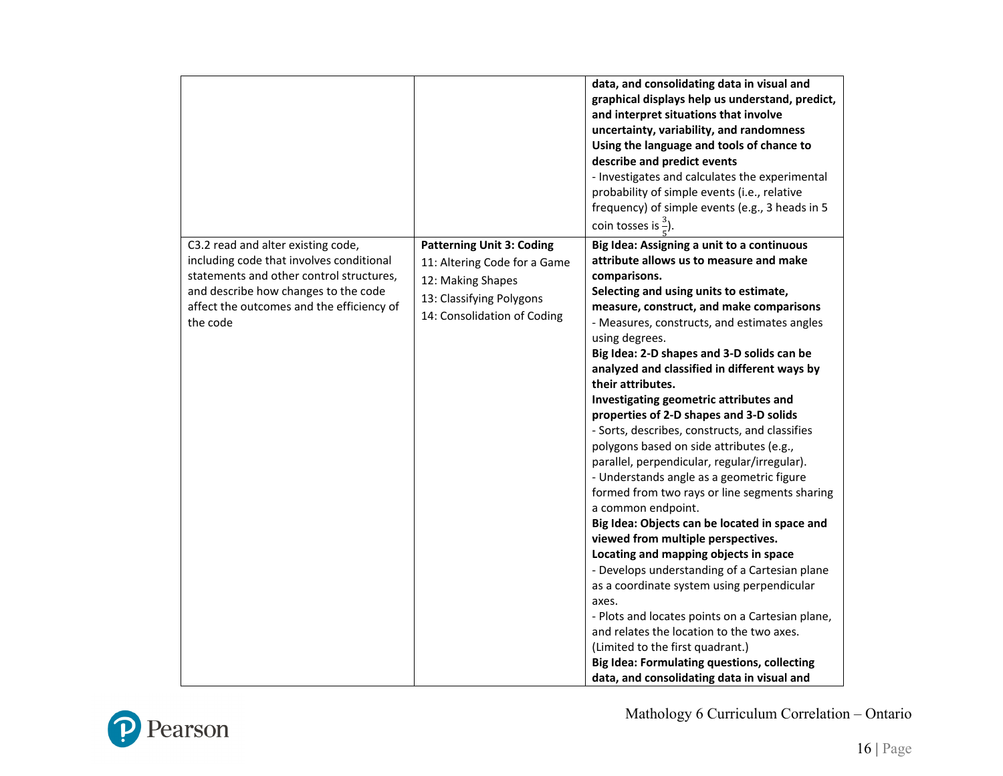|                                                                                                                                                                                                                             |                                                                                                                                                  | data, and consolidating data in visual and<br>graphical displays help us understand, predict,<br>and interpret situations that involve<br>uncertainty, variability, and randomness<br>Using the language and tools of chance to<br>describe and predict events<br>- Investigates and calculates the experimental<br>probability of simple events (i.e., relative<br>frequency) of simple events (e.g., 3 heads in 5<br>coin tosses is $\frac{3}{7}$ ).                                                                                                                                                                                                                                                                                                                                                                                                                                                                                                                                                                                                                                                                                                                                                                   |
|-----------------------------------------------------------------------------------------------------------------------------------------------------------------------------------------------------------------------------|--------------------------------------------------------------------------------------------------------------------------------------------------|--------------------------------------------------------------------------------------------------------------------------------------------------------------------------------------------------------------------------------------------------------------------------------------------------------------------------------------------------------------------------------------------------------------------------------------------------------------------------------------------------------------------------------------------------------------------------------------------------------------------------------------------------------------------------------------------------------------------------------------------------------------------------------------------------------------------------------------------------------------------------------------------------------------------------------------------------------------------------------------------------------------------------------------------------------------------------------------------------------------------------------------------------------------------------------------------------------------------------|
| C3.2 read and alter existing code,<br>including code that involves conditional<br>statements and other control structures,<br>and describe how changes to the code<br>affect the outcomes and the efficiency of<br>the code | <b>Patterning Unit 3: Coding</b><br>11: Altering Code for a Game<br>12: Making Shapes<br>13: Classifying Polygons<br>14: Consolidation of Coding | Big Idea: Assigning a unit to a continuous<br>attribute allows us to measure and make<br>comparisons.<br>Selecting and using units to estimate,<br>measure, construct, and make comparisons<br>- Measures, constructs, and estimates angles<br>using degrees.<br>Big Idea: 2-D shapes and 3-D solids can be<br>analyzed and classified in different ways by<br>their attributes.<br>Investigating geometric attributes and<br>properties of 2-D shapes and 3-D solids<br>- Sorts, describes, constructs, and classifies<br>polygons based on side attributes (e.g.,<br>parallel, perpendicular, regular/irregular).<br>- Understands angle as a geometric figure<br>formed from two rays or line segments sharing<br>a common endpoint.<br>Big Idea: Objects can be located in space and<br>viewed from multiple perspectives.<br>Locating and mapping objects in space<br>- Develops understanding of a Cartesian plane<br>as a coordinate system using perpendicular<br>axes.<br>- Plots and locates points on a Cartesian plane,<br>and relates the location to the two axes.<br>(Limited to the first quadrant.)<br><b>Big Idea: Formulating questions, collecting</b><br>data, and consolidating data in visual and |

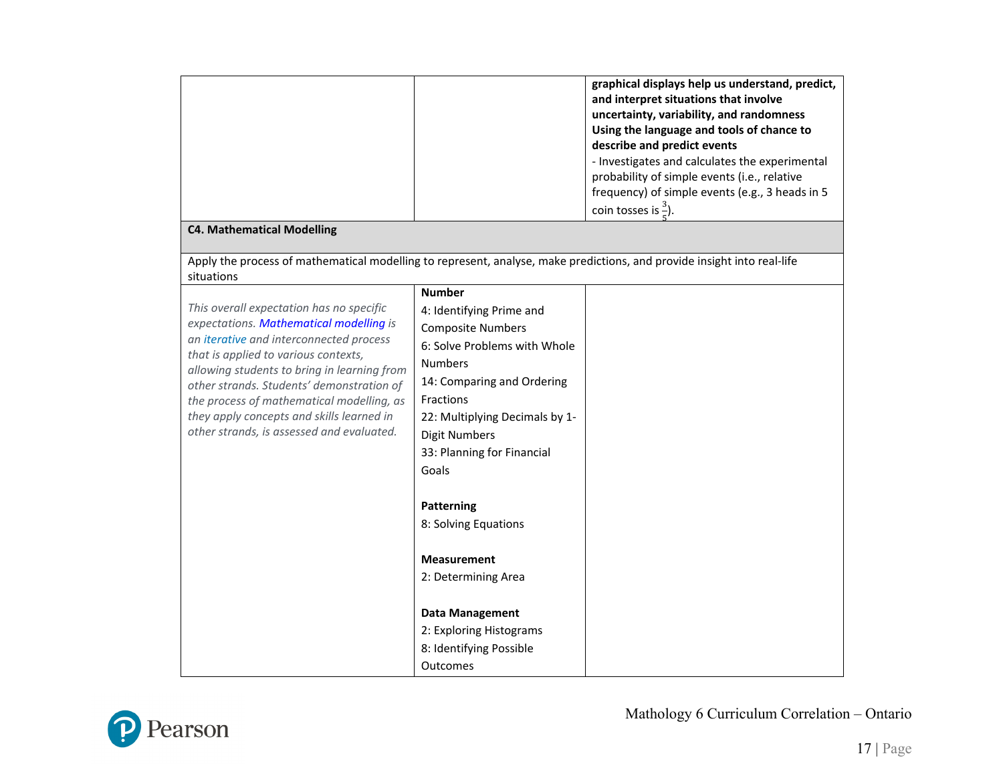|                                                                                                                                       |                                | graphical displays help us understand, predict,<br>and interpret situations that involve<br>uncertainty, variability, and randomness |
|---------------------------------------------------------------------------------------------------------------------------------------|--------------------------------|--------------------------------------------------------------------------------------------------------------------------------------|
|                                                                                                                                       |                                | Using the language and tools of chance to                                                                                            |
|                                                                                                                                       |                                | describe and predict events                                                                                                          |
|                                                                                                                                       |                                | - Investigates and calculates the experimental                                                                                       |
|                                                                                                                                       |                                | probability of simple events (i.e., relative                                                                                         |
|                                                                                                                                       |                                | frequency) of simple events (e.g., 3 heads in 5                                                                                      |
|                                                                                                                                       |                                | coin tosses is $\frac{3}{7}$ ).                                                                                                      |
| <b>C4. Mathematical Modelling</b>                                                                                                     |                                |                                                                                                                                      |
| Apply the process of mathematical modelling to represent, analyse, make predictions, and provide insight into real-life<br>situations |                                |                                                                                                                                      |
|                                                                                                                                       | <b>Number</b>                  |                                                                                                                                      |
| This overall expectation has no specific                                                                                              | 4: Identifying Prime and       |                                                                                                                                      |
| expectations. Mathematical modelling is                                                                                               | <b>Composite Numbers</b>       |                                                                                                                                      |
| an iterative and interconnected process<br>that is applied to various contexts,                                                       | 6: Solve Problems with Whole   |                                                                                                                                      |
| allowing students to bring in learning from                                                                                           | <b>Numbers</b>                 |                                                                                                                                      |
| other strands. Students' demonstration of                                                                                             | 14: Comparing and Ordering     |                                                                                                                                      |
| the process of mathematical modelling, as                                                                                             | Fractions                      |                                                                                                                                      |
| they apply concepts and skills learned in                                                                                             | 22: Multiplying Decimals by 1- |                                                                                                                                      |
| other strands, is assessed and evaluated.                                                                                             | <b>Digit Numbers</b>           |                                                                                                                                      |
|                                                                                                                                       | 33: Planning for Financial     |                                                                                                                                      |
|                                                                                                                                       | Goals                          |                                                                                                                                      |
|                                                                                                                                       | <b>Patterning</b>              |                                                                                                                                      |
|                                                                                                                                       | 8: Solving Equations           |                                                                                                                                      |
|                                                                                                                                       | <b>Measurement</b>             |                                                                                                                                      |
|                                                                                                                                       | 2: Determining Area            |                                                                                                                                      |
|                                                                                                                                       |                                |                                                                                                                                      |
|                                                                                                                                       | <b>Data Management</b>         |                                                                                                                                      |
|                                                                                                                                       | 2: Exploring Histograms        |                                                                                                                                      |
|                                                                                                                                       | 8: Identifying Possible        |                                                                                                                                      |
|                                                                                                                                       | Outcomes                       |                                                                                                                                      |

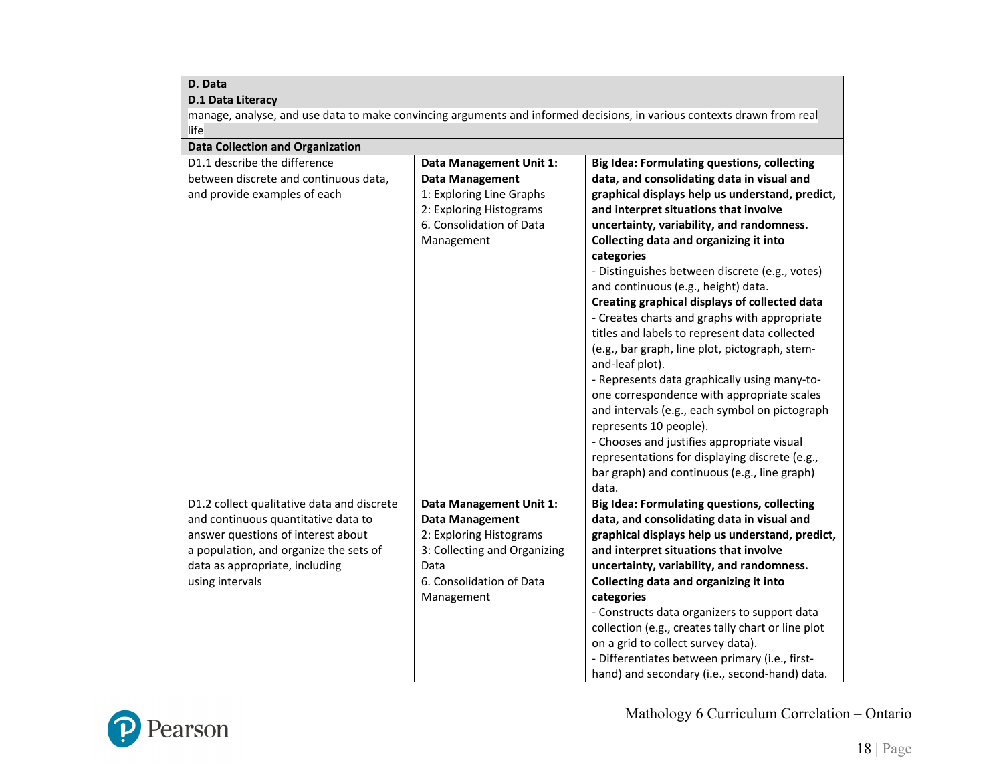| D. Data                                                                                                                |                                |                                                    |
|------------------------------------------------------------------------------------------------------------------------|--------------------------------|----------------------------------------------------|
| <b>D.1 Data Literacy</b>                                                                                               |                                |                                                    |
| manage, analyse, and use data to make convincing arguments and informed decisions, in various contexts drawn from real |                                |                                                    |
| life                                                                                                                   |                                |                                                    |
| <b>Data Collection and Organization</b>                                                                                |                                |                                                    |
| D1.1 describe the difference                                                                                           | <b>Data Management Unit 1:</b> | <b>Big Idea: Formulating questions, collecting</b> |
| between discrete and continuous data,                                                                                  | <b>Data Management</b>         | data, and consolidating data in visual and         |
| and provide examples of each                                                                                           | 1: Exploring Line Graphs       | graphical displays help us understand, predict,    |
|                                                                                                                        | 2: Exploring Histograms        | and interpret situations that involve              |
|                                                                                                                        | 6. Consolidation of Data       | uncertainty, variability, and randomness.          |
|                                                                                                                        | Management                     | Collecting data and organizing it into             |
|                                                                                                                        |                                | categories                                         |
|                                                                                                                        |                                | - Distinguishes between discrete (e.g., votes)     |
|                                                                                                                        |                                | and continuous (e.g., height) data.                |
|                                                                                                                        |                                | Creating graphical displays of collected data      |
|                                                                                                                        |                                | - Creates charts and graphs with appropriate       |
|                                                                                                                        |                                | titles and labels to represent data collected      |
|                                                                                                                        |                                | (e.g., bar graph, line plot, pictograph, stem-     |
|                                                                                                                        |                                | and-leaf plot).                                    |
|                                                                                                                        |                                | - Represents data graphically using many-to-       |
|                                                                                                                        |                                | one correspondence with appropriate scales         |
|                                                                                                                        |                                | and intervals (e.g., each symbol on pictograph     |
|                                                                                                                        |                                | represents 10 people).                             |
|                                                                                                                        |                                | - Chooses and justifies appropriate visual         |
|                                                                                                                        |                                | representations for displaying discrete (e.g.,     |
|                                                                                                                        |                                | bar graph) and continuous (e.g., line graph)       |
|                                                                                                                        |                                | data.                                              |
| D1.2 collect qualitative data and discrete                                                                             | Data Management Unit 1:        | <b>Big Idea: Formulating questions, collecting</b> |
| and continuous quantitative data to                                                                                    | <b>Data Management</b>         | data, and consolidating data in visual and         |
| answer questions of interest about                                                                                     | 2: Exploring Histograms        | graphical displays help us understand, predict,    |
| a population, and organize the sets of                                                                                 | 3: Collecting and Organizing   | and interpret situations that involve              |
| data as appropriate, including                                                                                         | Data                           | uncertainty, variability, and randomness.          |
| using intervals                                                                                                        | 6. Consolidation of Data       | Collecting data and organizing it into             |
|                                                                                                                        | Management                     | categories                                         |
|                                                                                                                        |                                | - Constructs data organizers to support data       |
|                                                                                                                        |                                | collection (e.g., creates tally chart or line plot |
|                                                                                                                        |                                | on a grid to collect survey data).                 |
|                                                                                                                        |                                | - Differentiates between primary (i.e., first-     |
|                                                                                                                        |                                | hand) and secondary (i.e., second-hand) data.      |

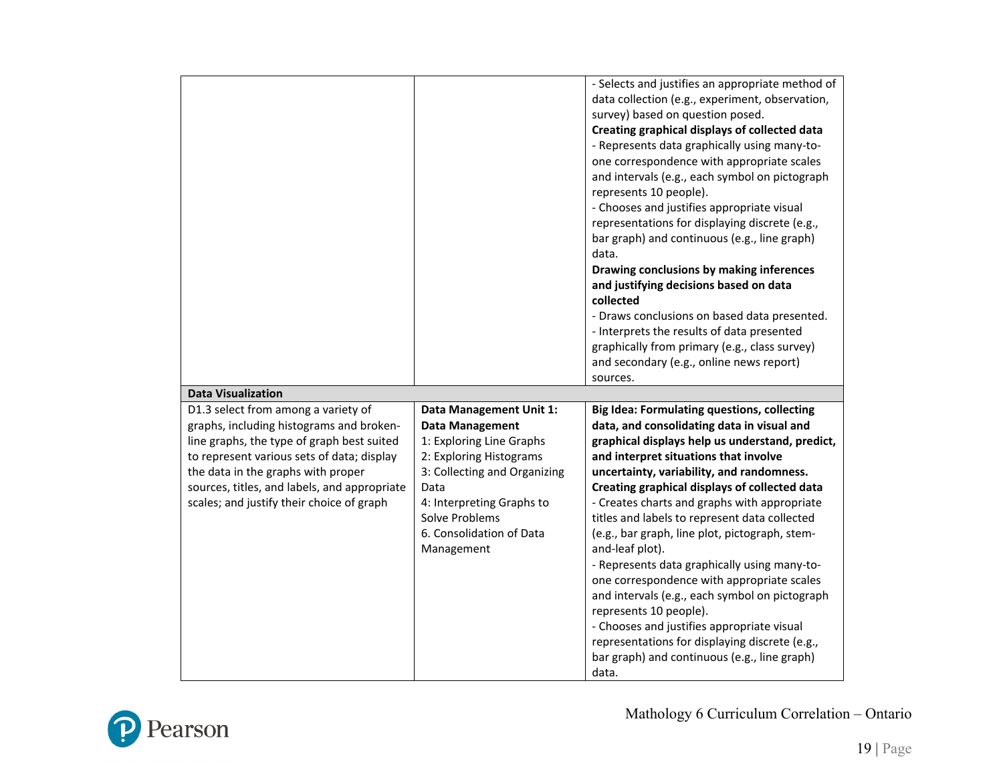|                                              |                              | - Selects and justifies an appropriate method of      |
|----------------------------------------------|------------------------------|-------------------------------------------------------|
|                                              |                              | data collection (e.g., experiment, observation,       |
|                                              |                              | survey) based on question posed.                      |
|                                              |                              | Creating graphical displays of collected data         |
|                                              |                              | - Represents data graphically using many-to-          |
|                                              |                              | one correspondence with appropriate scales            |
|                                              |                              | and intervals (e.g., each symbol on pictograph        |
|                                              |                              | represents 10 people).                                |
|                                              |                              | - Chooses and justifies appropriate visual            |
|                                              |                              | representations for displaying discrete (e.g.,        |
|                                              |                              | bar graph) and continuous (e.g., line graph)          |
|                                              |                              | data.                                                 |
|                                              |                              | Drawing conclusions by making inferences              |
|                                              |                              | and justifying decisions based on data                |
|                                              |                              | collected                                             |
|                                              |                              | - Draws conclusions on based data presented.          |
|                                              |                              | - Interprets the results of data presented            |
|                                              |                              | graphically from primary (e.g., class survey)         |
|                                              |                              | and secondary (e.g., online news report)              |
|                                              |                              | sources.                                              |
| <b>Data Visualization</b>                    |                              |                                                       |
| D1.3 select from among a variety of          | Data Management Unit 1:      | <b>Big Idea: Formulating questions, collecting</b>    |
| graphs, including histograms and broken-     | <b>Data Management</b>       | data, and consolidating data in visual and            |
| line graphs, the type of graph best suited   | 1: Exploring Line Graphs     | graphical displays help us understand, predict,       |
|                                              |                              |                                                       |
|                                              |                              |                                                       |
| to represent various sets of data; display   | 2: Exploring Histograms      | and interpret situations that involve                 |
| the data in the graphs with proper           | 3: Collecting and Organizing | uncertainty, variability, and randomness.             |
| sources, titles, and labels, and appropriate | Data                         | Creating graphical displays of collected data         |
| scales; and justify their choice of graph    | 4: Interpreting Graphs to    | - Creates charts and graphs with appropriate          |
|                                              | Solve Problems               | titles and labels to represent data collected         |
|                                              | 6. Consolidation of Data     | (e.g., bar graph, line plot, pictograph, stem-        |
|                                              | Management                   | and-leaf plot).                                       |
|                                              |                              | - Represents data graphically using many-to-          |
|                                              |                              | one correspondence with appropriate scales            |
|                                              |                              | and intervals (e.g., each symbol on pictograph        |
|                                              |                              | represents 10 people).                                |
|                                              |                              | - Chooses and justifies appropriate visual            |
|                                              |                              | representations for displaying discrete (e.g.,        |
|                                              |                              | bar graph) and continuous (e.g., line graph)<br>data. |

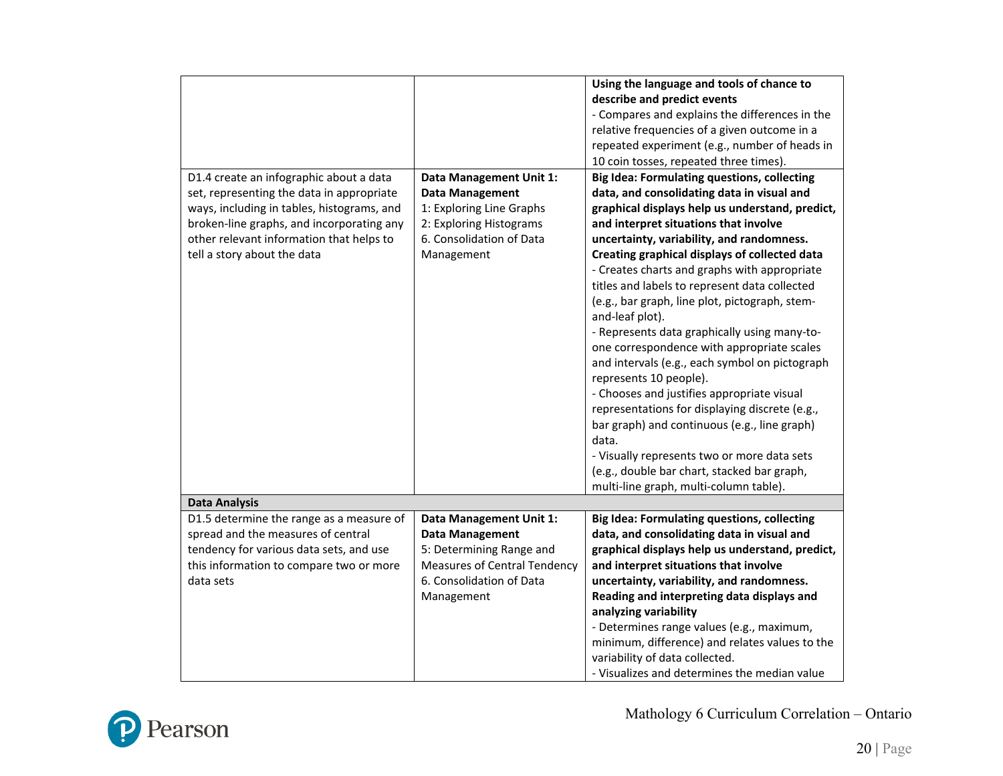|                                            |                                     | Using the language and tools of chance to          |
|--------------------------------------------|-------------------------------------|----------------------------------------------------|
|                                            |                                     | describe and predict events                        |
|                                            |                                     | - Compares and explains the differences in the     |
|                                            |                                     | relative frequencies of a given outcome in a       |
|                                            |                                     | repeated experiment (e.g., number of heads in      |
|                                            |                                     | 10 coin tosses, repeated three times).             |
| D1.4 create an infographic about a data    | Data Management Unit 1:             | <b>Big Idea: Formulating questions, collecting</b> |
| set, representing the data in appropriate  | <b>Data Management</b>              | data, and consolidating data in visual and         |
| ways, including in tables, histograms, and | 1: Exploring Line Graphs            | graphical displays help us understand, predict,    |
| broken-line graphs, and incorporating any  | 2: Exploring Histograms             | and interpret situations that involve              |
| other relevant information that helps to   | 6. Consolidation of Data            | uncertainty, variability, and randomness.          |
| tell a story about the data                |                                     |                                                    |
|                                            | Management                          | Creating graphical displays of collected data      |
|                                            |                                     | - Creates charts and graphs with appropriate       |
|                                            |                                     | titles and labels to represent data collected      |
|                                            |                                     | (e.g., bar graph, line plot, pictograph, stem-     |
|                                            |                                     | and-leaf plot).                                    |
|                                            |                                     | - Represents data graphically using many-to-       |
|                                            |                                     | one correspondence with appropriate scales         |
|                                            |                                     | and intervals (e.g., each symbol on pictograph     |
|                                            |                                     | represents 10 people).                             |
|                                            |                                     | - Chooses and justifies appropriate visual         |
|                                            |                                     | representations for displaying discrete (e.g.,     |
|                                            |                                     | bar graph) and continuous (e.g., line graph)       |
|                                            |                                     | data.                                              |
|                                            |                                     | - Visually represents two or more data sets        |
|                                            |                                     | (e.g., double bar chart, stacked bar graph,        |
|                                            |                                     | multi-line graph, multi-column table).             |
| <b>Data Analysis</b>                       |                                     |                                                    |
| D1.5 determine the range as a measure of   | Data Management Unit 1:             | <b>Big Idea: Formulating questions, collecting</b> |
| spread and the measures of central         | <b>Data Management</b>              | data, and consolidating data in visual and         |
| tendency for various data sets, and use    | 5: Determining Range and            | graphical displays help us understand, predict,    |
| this information to compare two or more    | <b>Measures of Central Tendency</b> | and interpret situations that involve              |
| data sets                                  | 6. Consolidation of Data            | uncertainty, variability, and randomness.          |
|                                            | Management                          | Reading and interpreting data displays and         |
|                                            |                                     | analyzing variability                              |
|                                            |                                     | - Determines range values (e.g., maximum,          |
|                                            |                                     | minimum, difference) and relates values to the     |
|                                            |                                     | variability of data collected.                     |
|                                            |                                     | - Visualizes and determines the median value       |

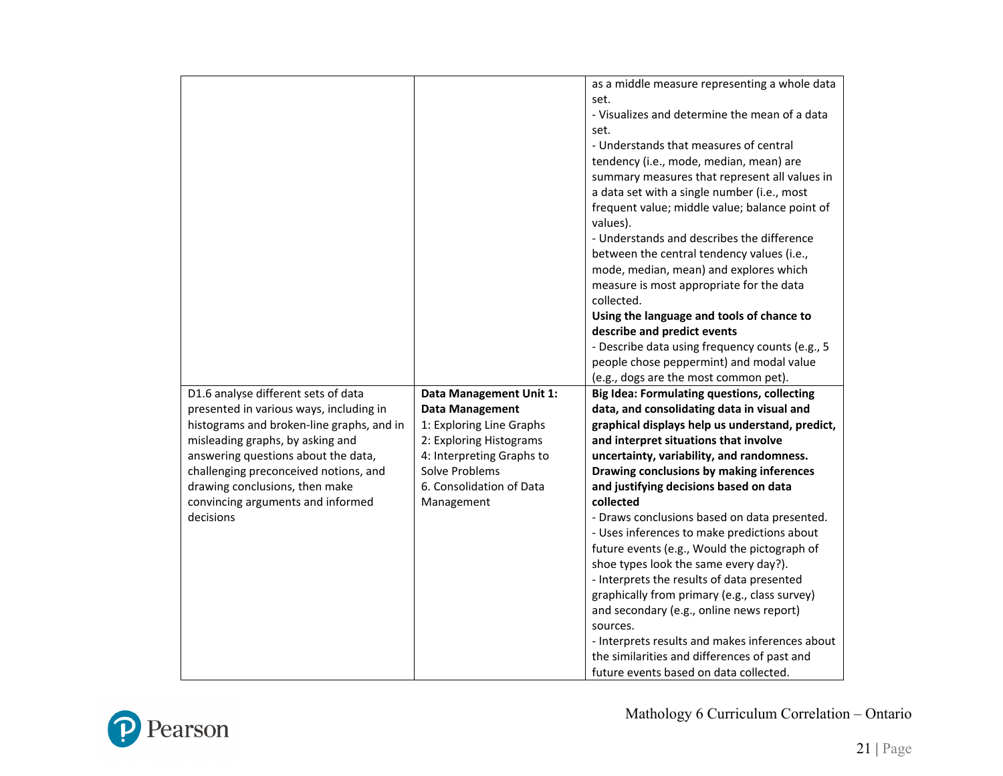|                                           |                                | as a middle measure representing a whole data              |
|-------------------------------------------|--------------------------------|------------------------------------------------------------|
|                                           |                                | set.                                                       |
|                                           |                                | - Visualizes and determine the mean of a data              |
|                                           |                                | set.                                                       |
|                                           |                                | - Understands that measures of central                     |
|                                           |                                | tendency (i.e., mode, median, mean) are                    |
|                                           |                                | summary measures that represent all values in              |
|                                           |                                | a data set with a single number (i.e., most                |
|                                           |                                | frequent value; middle value; balance point of<br>values). |
|                                           |                                | - Understands and describes the difference                 |
|                                           |                                | between the central tendency values (i.e.,                 |
|                                           |                                | mode, median, mean) and explores which                     |
|                                           |                                | measure is most appropriate for the data                   |
|                                           |                                | collected.                                                 |
|                                           |                                | Using the language and tools of chance to                  |
|                                           |                                | describe and predict events                                |
|                                           |                                | - Describe data using frequency counts (e.g., 5            |
|                                           |                                | people chose peppermint) and modal value                   |
|                                           |                                | (e.g., dogs are the most common pet).                      |
| D1.6 analyse different sets of data       | <b>Data Management Unit 1:</b> | <b>Big Idea: Formulating questions, collecting</b>         |
| presented in various ways, including in   | <b>Data Management</b>         | data, and consolidating data in visual and                 |
| histograms and broken-line graphs, and in | 1: Exploring Line Graphs       | graphical displays help us understand, predict,            |
| misleading graphs, by asking and          | 2: Exploring Histograms        | and interpret situations that involve                      |
| answering questions about the data,       | 4: Interpreting Graphs to      | uncertainty, variability, and randomness.                  |
| challenging preconceived notions, and     | Solve Problems                 | Drawing conclusions by making inferences                   |
| drawing conclusions, then make            | 6. Consolidation of Data       | and justifying decisions based on data                     |
| convincing arguments and informed         | Management                     | collected                                                  |
| decisions                                 |                                | - Draws conclusions based on data presented.               |
|                                           |                                | - Uses inferences to make predictions about                |
|                                           |                                | future events (e.g., Would the pictograph of               |
|                                           |                                | shoe types look the same every day?).                      |
|                                           |                                | - Interprets the results of data presented                 |
|                                           |                                | graphically from primary (e.g., class survey)              |
|                                           |                                | and secondary (e.g., online news report)                   |
|                                           |                                | sources.                                                   |
|                                           |                                | - Interprets results and makes inferences about            |
|                                           |                                | the similarities and differences of past and               |
|                                           |                                | future events based on data collected.                     |

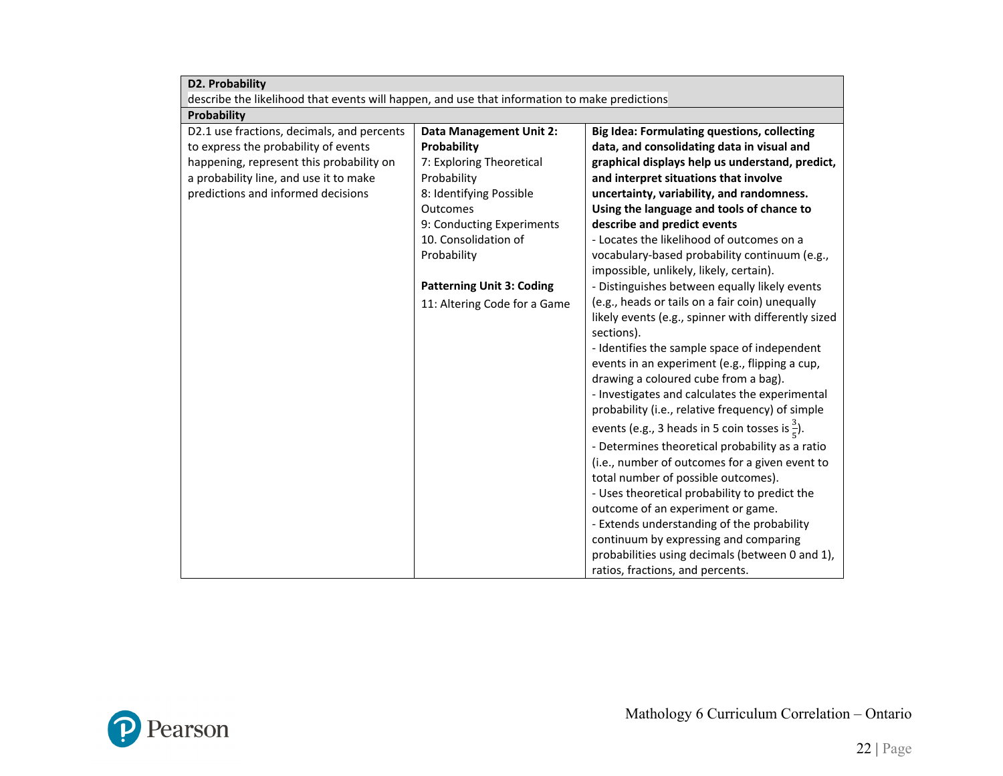| D2. Probability                                                                               |                                  |                                                            |
|-----------------------------------------------------------------------------------------------|----------------------------------|------------------------------------------------------------|
| describe the likelihood that events will happen, and use that information to make predictions |                                  |                                                            |
| Probability                                                                                   |                                  |                                                            |
| D2.1 use fractions, decimals, and percents                                                    | <b>Data Management Unit 2:</b>   | <b>Big Idea: Formulating questions, collecting</b>         |
| to express the probability of events                                                          | Probability                      | data, and consolidating data in visual and                 |
| happening, represent this probability on                                                      | 7: Exploring Theoretical         | graphical displays help us understand, predict,            |
| a probability line, and use it to make                                                        | Probability                      | and interpret situations that involve                      |
| predictions and informed decisions                                                            | 8: Identifying Possible          | uncertainty, variability, and randomness.                  |
|                                                                                               | Outcomes                         | Using the language and tools of chance to                  |
|                                                                                               | 9: Conducting Experiments        | describe and predict events                                |
|                                                                                               | 10. Consolidation of             | - Locates the likelihood of outcomes on a                  |
|                                                                                               | Probability                      | vocabulary-based probability continuum (e.g.,              |
|                                                                                               |                                  | impossible, unlikely, likely, certain).                    |
|                                                                                               | <b>Patterning Unit 3: Coding</b> | - Distinguishes between equally likely events              |
|                                                                                               | 11: Altering Code for a Game     | (e.g., heads or tails on a fair coin) unequally            |
|                                                                                               |                                  | likely events (e.g., spinner with differently sized        |
|                                                                                               |                                  | sections).                                                 |
|                                                                                               |                                  | - Identifies the sample space of independent               |
|                                                                                               |                                  | events in an experiment (e.g., flipping a cup,             |
|                                                                                               |                                  | drawing a coloured cube from a bag).                       |
|                                                                                               |                                  | - Investigates and calculates the experimental             |
|                                                                                               |                                  | probability (i.e., relative frequency) of simple           |
|                                                                                               |                                  | events (e.g., 3 heads in 5 coin tosses is $\frac{3}{5}$ ). |
|                                                                                               |                                  | - Determines theoretical probability as a ratio            |
|                                                                                               |                                  | (i.e., number of outcomes for a given event to             |
|                                                                                               |                                  | total number of possible outcomes).                        |
|                                                                                               |                                  | - Uses theoretical probability to predict the              |
|                                                                                               |                                  | outcome of an experiment or game.                          |
|                                                                                               |                                  | - Extends understanding of the probability                 |
|                                                                                               |                                  | continuum by expressing and comparing                      |
|                                                                                               |                                  | probabilities using decimals (between 0 and 1),            |
|                                                                                               |                                  | ratios, fractions, and percents.                           |

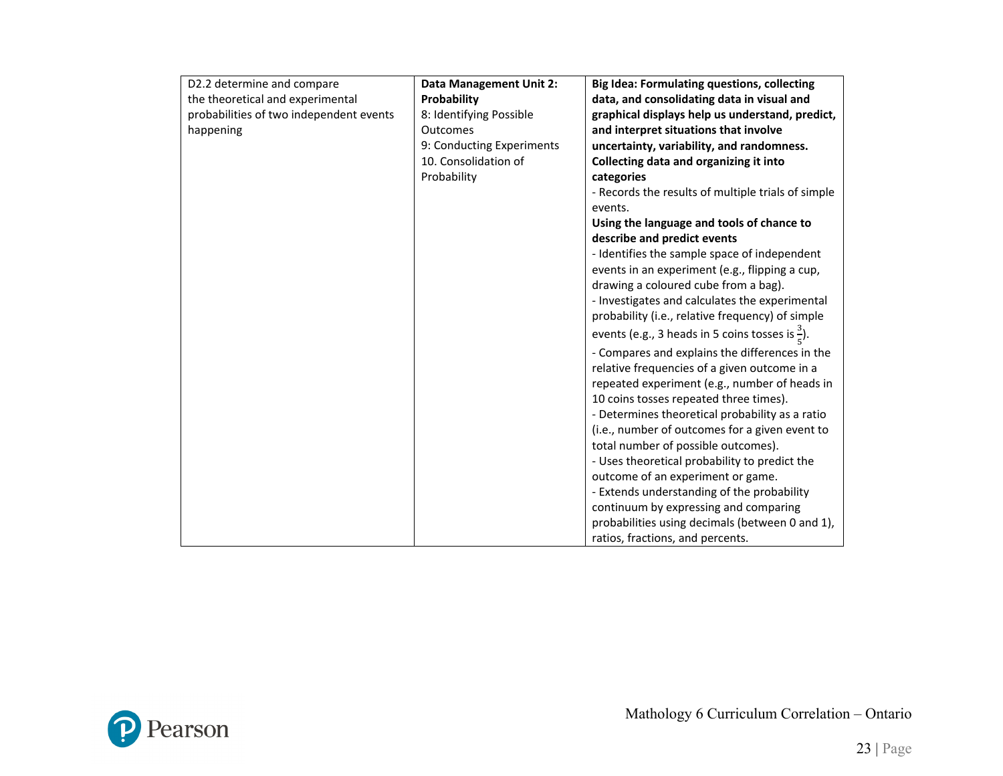| D2.2 determine and compare              | <b>Data Management Unit 2:</b> | <b>Big Idea: Formulating questions, collecting</b>          |
|-----------------------------------------|--------------------------------|-------------------------------------------------------------|
| the theoretical and experimental        | Probability                    | data, and consolidating data in visual and                  |
| probabilities of two independent events | 8: Identifying Possible        | graphical displays help us understand, predict,             |
| happening                               | Outcomes                       | and interpret situations that involve                       |
|                                         | 9: Conducting Experiments      | uncertainty, variability, and randomness.                   |
|                                         | 10. Consolidation of           | Collecting data and organizing it into                      |
|                                         | Probability                    | categories                                                  |
|                                         |                                | - Records the results of multiple trials of simple          |
|                                         |                                | events.                                                     |
|                                         |                                | Using the language and tools of chance to                   |
|                                         |                                | describe and predict events                                 |
|                                         |                                | - Identifies the sample space of independent                |
|                                         |                                | events in an experiment (e.g., flipping a cup,              |
|                                         |                                | drawing a coloured cube from a bag).                        |
|                                         |                                | - Investigates and calculates the experimental              |
|                                         |                                | probability (i.e., relative frequency) of simple            |
|                                         |                                | events (e.g., 3 heads in 5 coins tosses is $\frac{3}{5}$ ). |
|                                         |                                | - Compares and explains the differences in the              |
|                                         |                                | relative frequencies of a given outcome in a                |
|                                         |                                | repeated experiment (e.g., number of heads in               |
|                                         |                                | 10 coins tosses repeated three times).                      |
|                                         |                                | - Determines theoretical probability as a ratio             |
|                                         |                                | (i.e., number of outcomes for a given event to              |
|                                         |                                | total number of possible outcomes).                         |
|                                         |                                | - Uses theoretical probability to predict the               |
|                                         |                                | outcome of an experiment or game.                           |
|                                         |                                | - Extends understanding of the probability                  |
|                                         |                                | continuum by expressing and comparing                       |
|                                         |                                | probabilities using decimals (between 0 and 1),             |
|                                         |                                | ratios, fractions, and percents.                            |

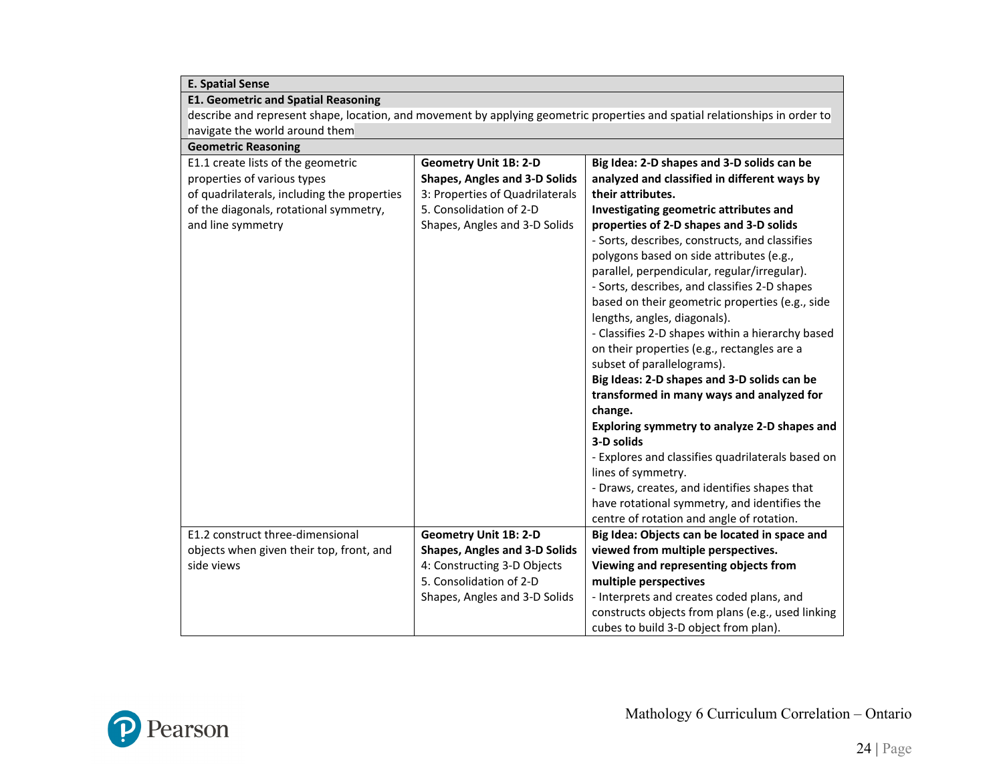| <b>E. Spatial Sense</b>                                                                                                     |                                      |                                                   |
|-----------------------------------------------------------------------------------------------------------------------------|--------------------------------------|---------------------------------------------------|
| <b>E1. Geometric and Spatial Reasoning</b>                                                                                  |                                      |                                                   |
| describe and represent shape, location, and movement by applying geometric properties and spatial relationships in order to |                                      |                                                   |
| navigate the world around them                                                                                              |                                      |                                                   |
| <b>Geometric Reasoning</b>                                                                                                  |                                      |                                                   |
| E1.1 create lists of the geometric                                                                                          | <b>Geometry Unit 1B: 2-D</b>         | Big Idea: 2-D shapes and 3-D solids can be        |
| properties of various types                                                                                                 | <b>Shapes, Angles and 3-D Solids</b> | analyzed and classified in different ways by      |
| of quadrilaterals, including the properties                                                                                 | 3: Properties of Quadrilaterals      | their attributes.                                 |
| of the diagonals, rotational symmetry,                                                                                      | 5. Consolidation of 2-D              | Investigating geometric attributes and            |
| and line symmetry                                                                                                           | Shapes, Angles and 3-D Solids        | properties of 2-D shapes and 3-D solids           |
|                                                                                                                             |                                      | - Sorts, describes, constructs, and classifies    |
|                                                                                                                             |                                      | polygons based on side attributes (e.g.,          |
|                                                                                                                             |                                      | parallel, perpendicular, regular/irregular).      |
|                                                                                                                             |                                      | - Sorts, describes, and classifies 2-D shapes     |
|                                                                                                                             |                                      | based on their geometric properties (e.g., side   |
|                                                                                                                             |                                      | lengths, angles, diagonals).                      |
|                                                                                                                             |                                      | - Classifies 2-D shapes within a hierarchy based  |
|                                                                                                                             |                                      | on their properties (e.g., rectangles are a       |
|                                                                                                                             |                                      | subset of parallelograms).                        |
|                                                                                                                             |                                      | Big Ideas: 2-D shapes and 3-D solids can be       |
|                                                                                                                             |                                      | transformed in many ways and analyzed for         |
|                                                                                                                             |                                      | change.                                           |
|                                                                                                                             |                                      | Exploring symmetry to analyze 2-D shapes and      |
|                                                                                                                             |                                      | 3-D solids                                        |
|                                                                                                                             |                                      | - Explores and classifies quadrilaterals based on |
|                                                                                                                             |                                      | lines of symmetry.                                |
|                                                                                                                             |                                      | - Draws, creates, and identifies shapes that      |
|                                                                                                                             |                                      | have rotational symmetry, and identifies the      |
|                                                                                                                             |                                      | centre of rotation and angle of rotation.         |
| E1.2 construct three-dimensional                                                                                            | <b>Geometry Unit 1B: 2-D</b>         | Big Idea: Objects can be located in space and     |
| objects when given their top, front, and                                                                                    | <b>Shapes, Angles and 3-D Solids</b> | viewed from multiple perspectives.                |
| side views                                                                                                                  | 4: Constructing 3-D Objects          | Viewing and representing objects from             |
|                                                                                                                             | 5. Consolidation of 2-D              | multiple perspectives                             |
|                                                                                                                             | Shapes, Angles and 3-D Solids        | - Interprets and creates coded plans, and         |
|                                                                                                                             |                                      | constructs objects from plans (e.g., used linking |
|                                                                                                                             |                                      | cubes to build 3-D object from plan).             |

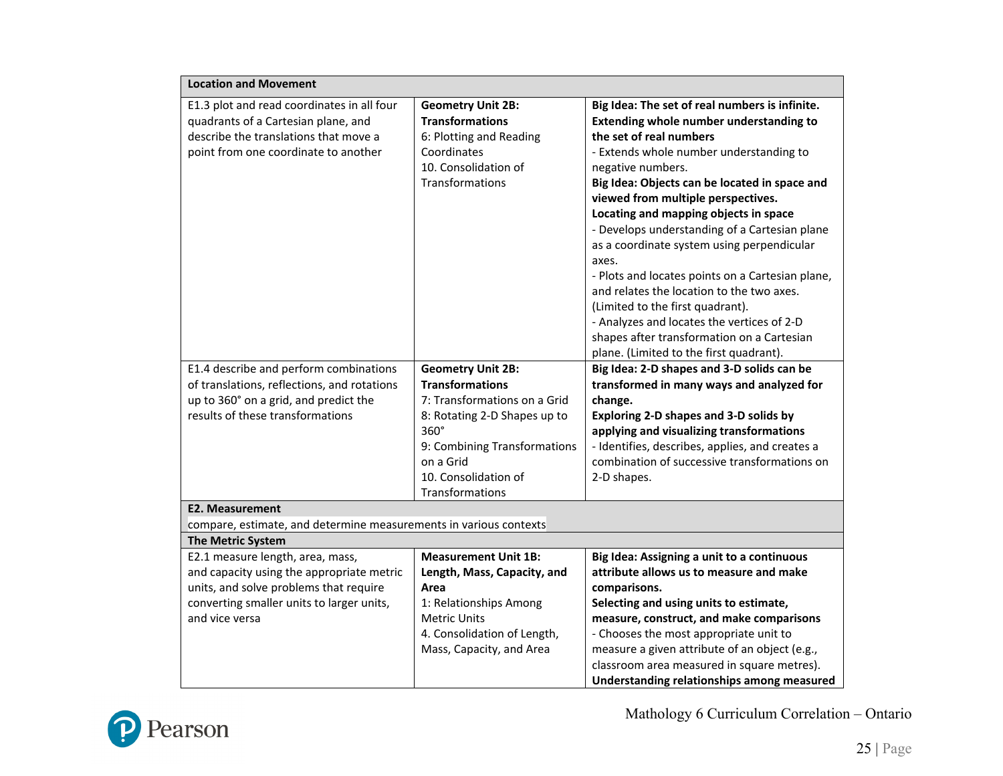| <b>Location and Movement</b>                                                                                                                                                           |                                                                                                                                                                                        |                                                                                                                                                                                                                                                                                                                                                                                                                                                                                                                                                                                                                                                               |  |  |
|----------------------------------------------------------------------------------------------------------------------------------------------------------------------------------------|----------------------------------------------------------------------------------------------------------------------------------------------------------------------------------------|---------------------------------------------------------------------------------------------------------------------------------------------------------------------------------------------------------------------------------------------------------------------------------------------------------------------------------------------------------------------------------------------------------------------------------------------------------------------------------------------------------------------------------------------------------------------------------------------------------------------------------------------------------------|--|--|
| E1.3 plot and read coordinates in all four<br>quadrants of a Cartesian plane, and<br>describe the translations that move a<br>point from one coordinate to another                     | <b>Geometry Unit 2B:</b><br><b>Transformations</b><br>6: Plotting and Reading<br>Coordinates<br>10. Consolidation of<br>Transformations                                                | Big Idea: The set of real numbers is infinite.<br>Extending whole number understanding to<br>the set of real numbers<br>- Extends whole number understanding to<br>negative numbers.<br>Big Idea: Objects can be located in space and<br>viewed from multiple perspectives.<br>Locating and mapping objects in space<br>- Develops understanding of a Cartesian plane<br>as a coordinate system using perpendicular<br>axes.<br>- Plots and locates points on a Cartesian plane,<br>and relates the location to the two axes.<br>(Limited to the first quadrant).<br>- Analyzes and locates the vertices of 2-D<br>shapes after transformation on a Cartesian |  |  |
| E1.4 describe and perform combinations                                                                                                                                                 | <b>Geometry Unit 2B:</b>                                                                                                                                                               | plane. (Limited to the first quadrant).<br>Big Idea: 2-D shapes and 3-D solids can be                                                                                                                                                                                                                                                                                                                                                                                                                                                                                                                                                                         |  |  |
| of translations, reflections, and rotations<br>up to 360° on a grid, and predict the<br>results of these transformations                                                               | <b>Transformations</b><br>7: Transformations on a Grid<br>8: Rotating 2-D Shapes up to<br>360°<br>9: Combining Transformations<br>on a Grid<br>10. Consolidation of<br>Transformations | transformed in many ways and analyzed for<br>change.<br>Exploring 2-D shapes and 3-D solids by<br>applying and visualizing transformations<br>- Identifies, describes, applies, and creates a<br>combination of successive transformations on<br>2-D shapes.                                                                                                                                                                                                                                                                                                                                                                                                  |  |  |
|                                                                                                                                                                                        | <b>E2. Measurement</b><br>compare, estimate, and determine measurements in various contexts                                                                                            |                                                                                                                                                                                                                                                                                                                                                                                                                                                                                                                                                                                                                                                               |  |  |
| <b>The Metric System</b>                                                                                                                                                               |                                                                                                                                                                                        |                                                                                                                                                                                                                                                                                                                                                                                                                                                                                                                                                                                                                                                               |  |  |
| E2.1 measure length, area, mass,<br>and capacity using the appropriate metric<br>units, and solve problems that require<br>converting smaller units to larger units,<br>and vice versa | <b>Measurement Unit 1B:</b><br>Length, Mass, Capacity, and<br>Area<br>1: Relationships Among<br><b>Metric Units</b><br>4. Consolidation of Length,<br>Mass, Capacity, and Area         | Big Idea: Assigning a unit to a continuous<br>attribute allows us to measure and make<br>comparisons.<br>Selecting and using units to estimate,<br>measure, construct, and make comparisons<br>- Chooses the most appropriate unit to<br>measure a given attribute of an object (e.g.,<br>classroom area measured in square metres).<br>Understanding relationships among measured                                                                                                                                                                                                                                                                            |  |  |

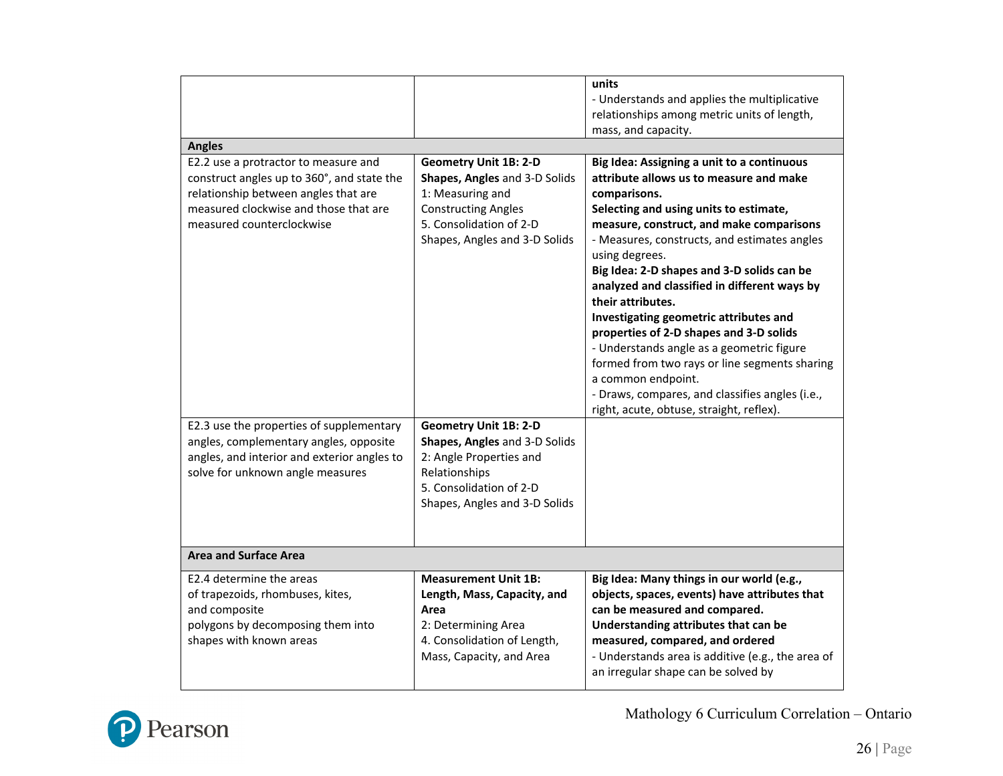| <b>Angles</b>                                                                                                                                                                                    |                                                                                                                                                                             | units<br>- Understands and applies the multiplicative<br>relationships among metric units of length,<br>mass, and capacity.                                                                                                                                                                                                                                                                                                                                                                                                                                                                                                                                                              |  |
|--------------------------------------------------------------------------------------------------------------------------------------------------------------------------------------------------|-----------------------------------------------------------------------------------------------------------------------------------------------------------------------------|------------------------------------------------------------------------------------------------------------------------------------------------------------------------------------------------------------------------------------------------------------------------------------------------------------------------------------------------------------------------------------------------------------------------------------------------------------------------------------------------------------------------------------------------------------------------------------------------------------------------------------------------------------------------------------------|--|
| E2.2 use a protractor to measure and<br>construct angles up to 360°, and state the<br>relationship between angles that are<br>measured clockwise and those that are<br>measured counterclockwise | <b>Geometry Unit 1B: 2-D</b><br>Shapes, Angles and 3-D Solids<br>1: Measuring and<br><b>Constructing Angles</b><br>5. Consolidation of 2-D<br>Shapes, Angles and 3-D Solids | Big Idea: Assigning a unit to a continuous<br>attribute allows us to measure and make<br>comparisons.<br>Selecting and using units to estimate,<br>measure, construct, and make comparisons<br>- Measures, constructs, and estimates angles<br>using degrees.<br>Big Idea: 2-D shapes and 3-D solids can be<br>analyzed and classified in different ways by<br>their attributes.<br>Investigating geometric attributes and<br>properties of 2-D shapes and 3-D solids<br>- Understands angle as a geometric figure<br>formed from two rays or line segments sharing<br>a common endpoint.<br>- Draws, compares, and classifies angles (i.e.,<br>right, acute, obtuse, straight, reflex). |  |
| E2.3 use the properties of supplementary<br>angles, complementary angles, opposite<br>angles, and interior and exterior angles to<br>solve for unknown angle measures                            | <b>Geometry Unit 1B: 2-D</b><br>Shapes, Angles and 3-D Solids<br>2: Angle Properties and<br>Relationships<br>5. Consolidation of 2-D<br>Shapes, Angles and 3-D Solids       |                                                                                                                                                                                                                                                                                                                                                                                                                                                                                                                                                                                                                                                                                          |  |
| <b>Area and Surface Area</b>                                                                                                                                                                     |                                                                                                                                                                             |                                                                                                                                                                                                                                                                                                                                                                                                                                                                                                                                                                                                                                                                                          |  |
| E2.4 determine the areas<br>of trapezoids, rhombuses, kites,<br>and composite<br>polygons by decomposing them into<br>shapes with known areas                                                    | <b>Measurement Unit 1B:</b><br>Length, Mass, Capacity, and<br>Area<br>2: Determining Area<br>4. Consolidation of Length,<br>Mass, Capacity, and Area                        | Big Idea: Many things in our world (e.g.,<br>objects, spaces, events) have attributes that<br>can be measured and compared.<br>Understanding attributes that can be<br>measured, compared, and ordered<br>- Understands area is additive (e.g., the area of<br>an irregular shape can be solved by                                                                                                                                                                                                                                                                                                                                                                                       |  |

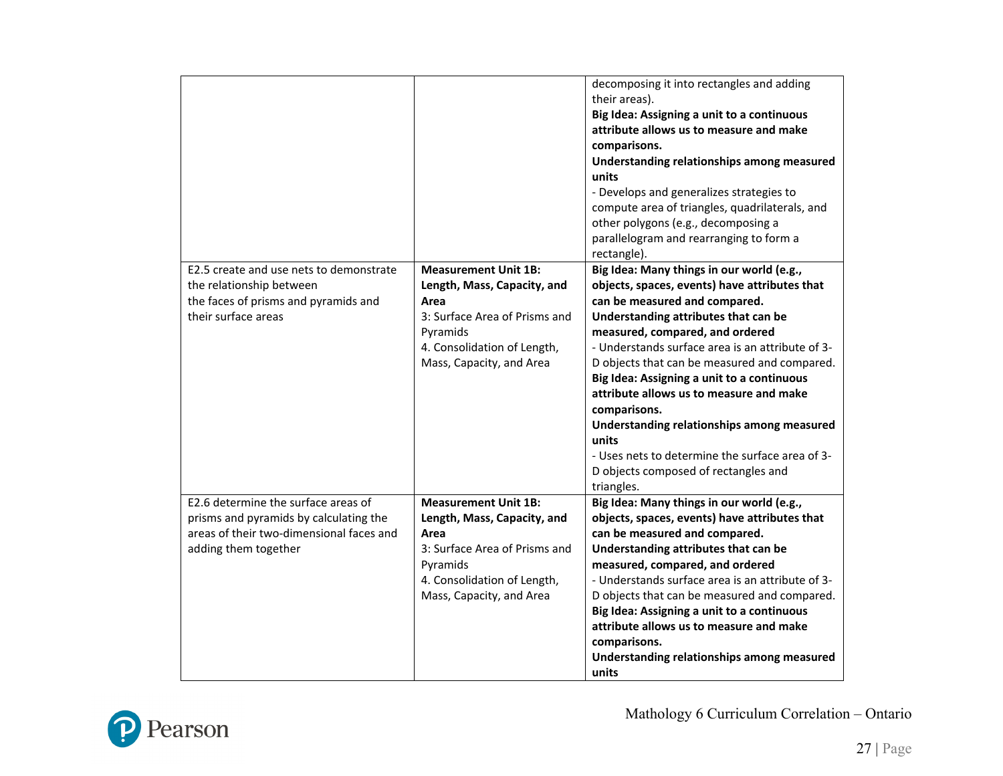|                                                                                                                                                   |                                                                                                                                                                            | decomposing it into rectangles and adding<br>their areas).<br>Big Idea: Assigning a unit to a continuous<br>attribute allows us to measure and make<br>comparisons.<br>Understanding relationships among measured<br>units<br>- Develops and generalizes strategies to<br>compute area of triangles, quadrilaterals, and<br>other polygons (e.g., decomposing a<br>parallelogram and rearranging to form a<br>rectangle).                                                                                                                                                           |
|---------------------------------------------------------------------------------------------------------------------------------------------------|----------------------------------------------------------------------------------------------------------------------------------------------------------------------------|-------------------------------------------------------------------------------------------------------------------------------------------------------------------------------------------------------------------------------------------------------------------------------------------------------------------------------------------------------------------------------------------------------------------------------------------------------------------------------------------------------------------------------------------------------------------------------------|
| E2.5 create and use nets to demonstrate<br>the relationship between<br>the faces of prisms and pyramids and<br>their surface areas                | <b>Measurement Unit 1B:</b><br>Length, Mass, Capacity, and<br>Area<br>3: Surface Area of Prisms and<br>Pyramids<br>4. Consolidation of Length,<br>Mass, Capacity, and Area | Big Idea: Many things in our world (e.g.,<br>objects, spaces, events) have attributes that<br>can be measured and compared.<br>Understanding attributes that can be<br>measured, compared, and ordered<br>- Understands surface area is an attribute of 3-<br>D objects that can be measured and compared.<br>Big Idea: Assigning a unit to a continuous<br>attribute allows us to measure and make<br>comparisons.<br>Understanding relationships among measured<br>units<br>- Uses nets to determine the surface area of 3-<br>D objects composed of rectangles and<br>triangles. |
| E2.6 determine the surface areas of<br>prisms and pyramids by calculating the<br>areas of their two-dimensional faces and<br>adding them together | <b>Measurement Unit 1B:</b><br>Length, Mass, Capacity, and<br>Area<br>3: Surface Area of Prisms and<br>Pyramids<br>4. Consolidation of Length,<br>Mass, Capacity, and Area | Big Idea: Many things in our world (e.g.,<br>objects, spaces, events) have attributes that<br>can be measured and compared.<br>Understanding attributes that can be<br>measured, compared, and ordered<br>- Understands surface area is an attribute of 3-<br>D objects that can be measured and compared.<br>Big Idea: Assigning a unit to a continuous<br>attribute allows us to measure and make<br>comparisons.<br>Understanding relationships among measured<br>units                                                                                                          |

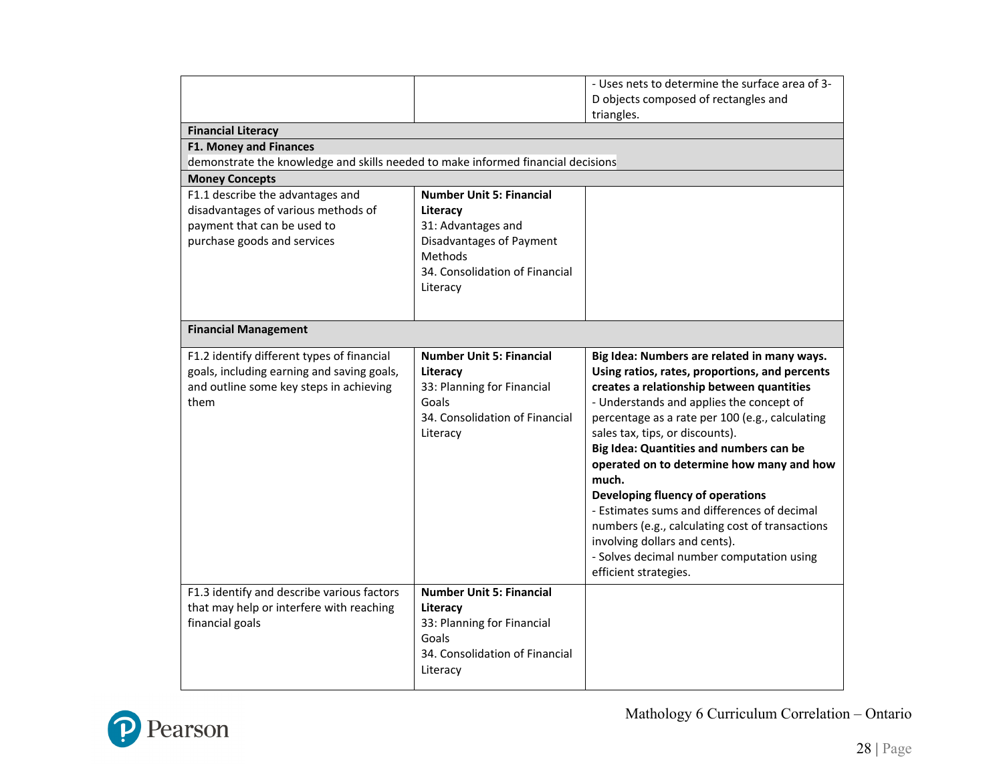|                                                                                  |                                                | - Uses nets to determine the surface area of 3-<br>D objects composed of rectangles and |  |  |  |
|----------------------------------------------------------------------------------|------------------------------------------------|-----------------------------------------------------------------------------------------|--|--|--|
|                                                                                  |                                                | triangles.                                                                              |  |  |  |
| <b>Financial Literacy</b>                                                        |                                                |                                                                                         |  |  |  |
| <b>F1. Money and Finances</b>                                                    |                                                |                                                                                         |  |  |  |
| demonstrate the knowledge and skills needed to make informed financial decisions |                                                |                                                                                         |  |  |  |
| <b>Money Concepts</b>                                                            |                                                |                                                                                         |  |  |  |
| F1.1 describe the advantages and                                                 | <b>Number Unit 5: Financial</b>                |                                                                                         |  |  |  |
| disadvantages of various methods of                                              | Literacy                                       |                                                                                         |  |  |  |
| payment that can be used to<br>purchase goods and services                       | 31: Advantages and<br>Disadvantages of Payment |                                                                                         |  |  |  |
|                                                                                  | Methods                                        |                                                                                         |  |  |  |
|                                                                                  | 34. Consolidation of Financial                 |                                                                                         |  |  |  |
|                                                                                  | Literacy                                       |                                                                                         |  |  |  |
|                                                                                  |                                                |                                                                                         |  |  |  |
| <b>Financial Management</b>                                                      |                                                |                                                                                         |  |  |  |
| F1.2 identify different types of financial                                       | <b>Number Unit 5: Financial</b>                | Big Idea: Numbers are related in many ways.                                             |  |  |  |
| goals, including earning and saving goals,                                       | Literacy                                       | Using ratios, rates, proportions, and percents                                          |  |  |  |
| and outline some key steps in achieving                                          | 33: Planning for Financial                     | creates a relationship between quantities                                               |  |  |  |
| them                                                                             | Goals                                          | - Understands and applies the concept of                                                |  |  |  |
|                                                                                  | 34. Consolidation of Financial                 | percentage as a rate per 100 (e.g., calculating                                         |  |  |  |
|                                                                                  | Literacy                                       | sales tax, tips, or discounts).                                                         |  |  |  |
|                                                                                  |                                                | Big Idea: Quantities and numbers can be                                                 |  |  |  |
|                                                                                  |                                                | operated on to determine how many and how<br>much.                                      |  |  |  |
|                                                                                  |                                                | Developing fluency of operations                                                        |  |  |  |
|                                                                                  |                                                | - Estimates sums and differences of decimal                                             |  |  |  |
|                                                                                  |                                                | numbers (e.g., calculating cost of transactions                                         |  |  |  |
|                                                                                  |                                                | involving dollars and cents).                                                           |  |  |  |
|                                                                                  |                                                | - Solves decimal number computation using                                               |  |  |  |
|                                                                                  |                                                | efficient strategies.                                                                   |  |  |  |
| F1.3 identify and describe various factors                                       | <b>Number Unit 5: Financial</b>                |                                                                                         |  |  |  |
| that may help or interfere with reaching                                         | Literacy                                       |                                                                                         |  |  |  |
| financial goals                                                                  | 33: Planning for Financial                     |                                                                                         |  |  |  |
|                                                                                  | Goals                                          |                                                                                         |  |  |  |
|                                                                                  | 34. Consolidation of Financial                 |                                                                                         |  |  |  |
|                                                                                  | Literacy                                       |                                                                                         |  |  |  |